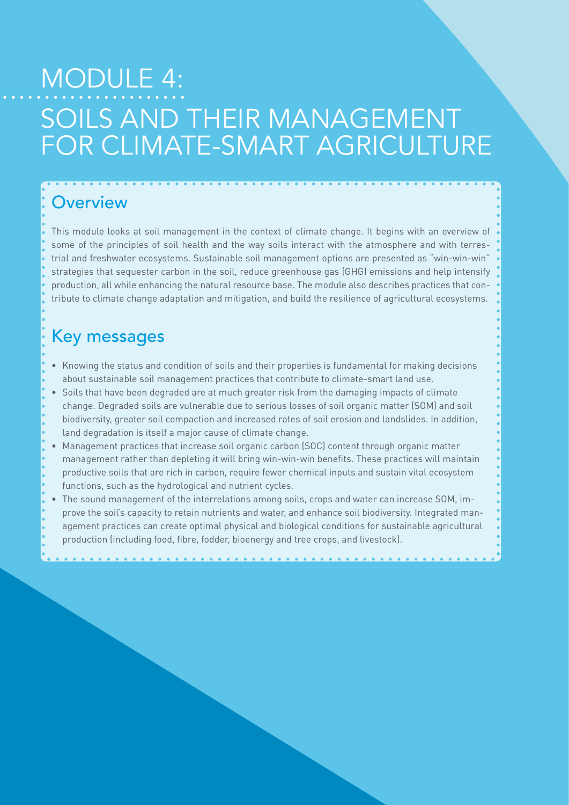# Module 4: Soils and their management for Climate-smart Agriculture

# **Overview**

This module looks at soil management in the context of climate change. It begins with an overview of some of the principles of soil health and the way soils interact with the atmosphere and with terrestrial and freshwater ecosystems. Sustainable soil management options are presented as "win-win-win" strategies that sequester carbon in the soil, reduce greenhouse gas (GHG) emissions and help intensify production, all while enhancing the natural resource base. The module also describes practices that contribute to climate change adaptation and mitigation, and build the resilience of agricultural ecosystems.

# Key messages

- • Knowing the status and condition of soils and their properties is fundamental for making decisions about sustainable soil management practices that contribute to climate-smart land use.
- Soils that have been degraded are at much greater risk from the damaging impacts of climate change. Degraded soils are vulnerable due to serious losses of soil organic matter (SOM) and soil biodiversity, greater soil compaction and increased rates of soil erosion and landslides. In addition, land degradation is itself a major cause of climate change.
- Management practices that increase soil organic carbon (SOC) content through organic matter management rather than depleting it will bring win-win-win benefits. These practices will maintain productive soils that are rich in carbon, require fewer chemical inputs and sustain vital ecosystem functions, such as the hydrological and nutrient cycles.
- The sound management of the interrelations among soils, crops and water can increase SOM, improve the soil's capacity to retain nutrients and water, and enhance soil biodiversity. Integrated management practices can create optimal physical and biological conditions for sustainable agricultural production (including food, fibre, fodder, bioenergy and tree crops, and livestock).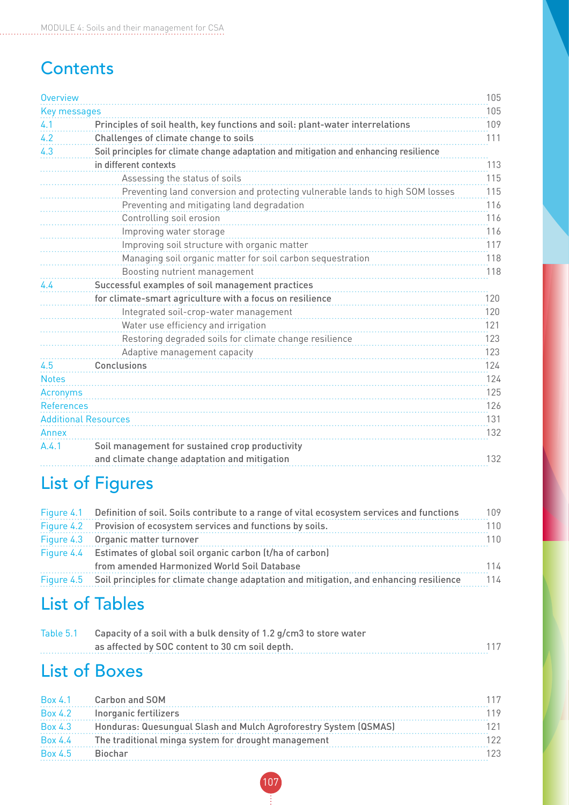# **Contents**

| <b>Overview</b>             |                                                                                       | 105 |
|-----------------------------|---------------------------------------------------------------------------------------|-----|
| Key messages                |                                                                                       | 105 |
| 4.1                         | Principles of soil health, key functions and soil: plant-water interrelations         | 109 |
| 4.2                         | Challenges of climate change to soils                                                 | 111 |
| 4.3                         | Soil principles for climate change adaptation and mitigation and enhancing resilience |     |
|                             | in different contexts                                                                 | 113 |
|                             | Assessing the status of soils                                                         | 115 |
|                             | Preventing land conversion and protecting vulnerable lands to high SOM losses         | 115 |
|                             | Preventing and mitigating land degradation                                            | 116 |
|                             | Controlling soil erosion                                                              | 116 |
|                             | Improving water storage                                                               | 116 |
|                             | Improving soil structure with organic matter                                          | 117 |
|                             | Managing soil organic matter for soil carbon sequestration                            | 118 |
|                             | Boosting nutrient management                                                          | 118 |
| 4.4                         | Successful examples of soil management practices                                      |     |
|                             | for climate-smart agriculture with a focus on resilience                              | 120 |
|                             | Integrated soil-crop-water management                                                 | 120 |
|                             | Water use efficiency and irrigation                                                   | 121 |
|                             | Restoring degraded soils for climate change resilience                                | 123 |
|                             | Adaptive management capacity                                                          | 123 |
| 4.5                         | Conclusions                                                                           | 124 |
| <b>Notes</b>                |                                                                                       | 124 |
| <b>Acronyms</b>             |                                                                                       | 125 |
| <b>References</b>           |                                                                                       | 126 |
| <b>Additional Resources</b> |                                                                                       | 131 |
| Annex                       |                                                                                       | 132 |
| A.4.1                       | Soil management for sustained crop productivity                                       |     |
|                             | and climate change adaptation and mitigation                                          | 132 |

# List of Figures

| Figure 4.1 Definition of soil. Soils contribute to a range of vital ecosystem services and functions | 109 |
|------------------------------------------------------------------------------------------------------|-----|
| Figure 4.2 Provision of ecosystem services and functions by soils.                                   | 110 |
| Figure 4.3 Organic matter turnover                                                                   |     |
| Figure 4.4 Estimates of global soil organic carbon (t/ha of carbon)                                  |     |
| from amended Harmonized World Soil Database                                                          | 114 |
| Figure 4.5 Soil principles for climate change adaptation and mitigation, and enhancing resilience    | 114 |

# List of Tables

| Table 5.1 Capacity of a soil with a bulk density of 1.2 g/cm3 to store water |     |  |
|------------------------------------------------------------------------------|-----|--|
| as affected by SOC content to 30 cm soil depth.                              | 117 |  |

# List of Boxes

| <b>Box 4.1</b> | <b>Carbon and SOM</b>                                            |  |
|----------------|------------------------------------------------------------------|--|
| <b>Box 4.2</b> | Inorganic fertilizers                                            |  |
| <b>Box 4.3</b> | Honduras: Quesungual Slash and Mulch Agroforestry System (QSMAS) |  |
| Box 4.4        | The traditional minga system for drought management              |  |
| Box 4.5        | <b>Biochar</b>                                                   |  |

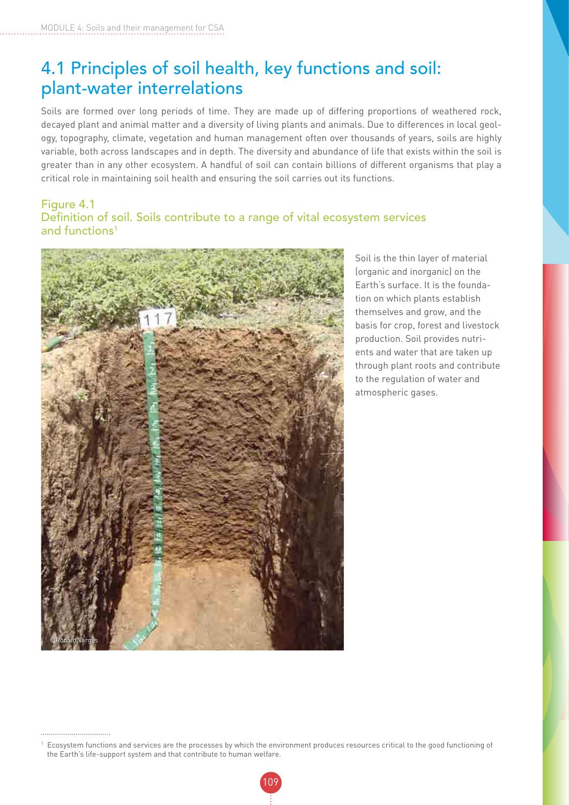## 4.1 Principles of soil health, key functions and soil: plant-water interrelations

Soils are formed over long periods of time. They are made up of differing proportions of weathered rock, decayed plant and animal matter and a diversity of living plants and animals. Due to differences in local geology, topography, climate, vegetation and human management often over thousands of years, soils are highly variable, both across landscapes and in depth. The diversity and abundance of life that exists within the soil is greater than in any other ecosystem. A handful of soil can contain billions of different organisms that play a critical role in maintaining soil health and ensuring the soil carries out its functions.

#### Figure 4.1 Definition of soil. Soils contribute to a range of vital ecosystem services and functions<sup>1</sup>



Soil is the thin layer of material (organic and inorganic) on the Earth's surface. It is the foundation on which plants establish themselves and grow, and the basis for crop, forest and livestock production. Soil provides nutrients and water that are taken up through plant roots and contribute to the regulation of water and atmospheric gases.

<sup>&</sup>lt;sup>1</sup> Ecosystem functions and services are the processes by which the environment produces resources critical to the good functioning of the Earth's life-support system and that contribute to human welfare.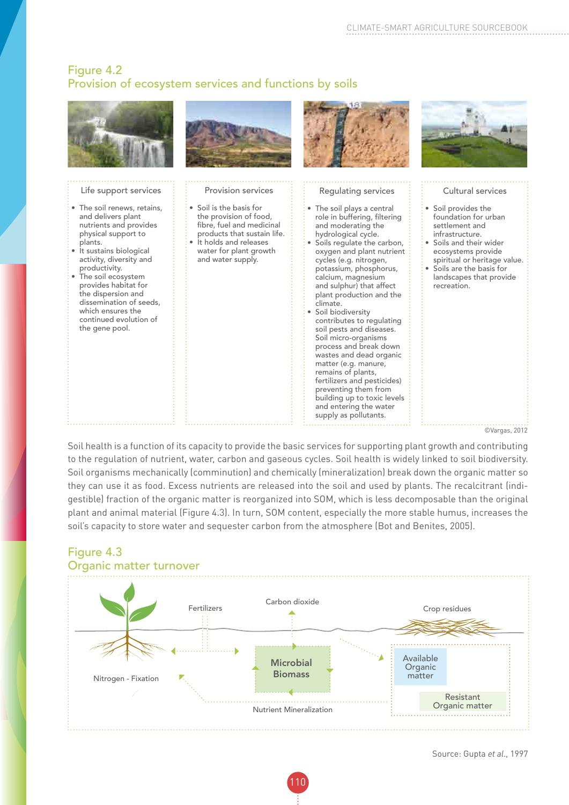### Figure 4.2 Provision of ecosystem services and functions by soils



Soil health is a function of its capacity to provide the basic services for supporting plant growth and contributing to the regulation of nutrient, water, carbon and gaseous cycles. Soil health is widely linked to soil biodiversity. Soil organisms mechanically (comminution) and chemically (mineralization) break down the organic matter so they can use it as food. Excess nutrients are released into the soil and used by plants. The recalcitrant (indigestible) fraction of the organic matter is reorganized into SOM, which is less decomposable than the original plant and animal material (Figure 4.3). In turn, SOM content, especially the more stable humus, increases the soil's capacity to store water and sequester carbon from the atmosphere (Bot and Benites, 2005).

#### Figure 4.3 Organic matter turnover



110

Source: Gupta *et al*., 1997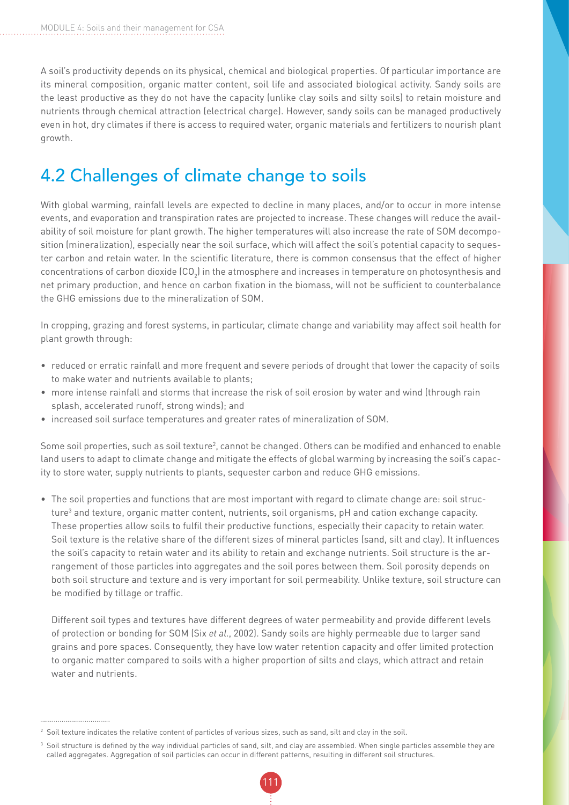A soil's productivity depends on its physical, chemical and biological properties. Of particular importance are its mineral composition, organic matter content, soil life and associated biological activity. Sandy soils are the least productive as they do not have the capacity (unlike clay soils and silty soils) to retain moisture and nutrients through chemical attraction (electrical charge). However, sandy soils can be managed productively even in hot, dry climates if there is access to required water, organic materials and fertilizers to nourish plant growth.

## 4.2 Challenges of climate change to soils

With global warming, rainfall levels are expected to decline in many places, and/or to occur in more intense events, and evaporation and transpiration rates are projected to increase. These changes will reduce the availability of soil moisture for plant growth. The higher temperatures will also increase the rate of SOM decomposition (mineralization), especially near the soil surface, which will affect the soil's potential capacity to sequester carbon and retain water. In the scientific literature, there is common consensus that the effect of higher concentrations of carbon dioxide (CO $_{_2}$ ) in the atmosphere and increases in temperature on photosynthesis and net primary production, and hence on carbon fixation in the biomass, will not be sufficient to counterbalance the GHG emissions due to the mineralization of SOM.

In cropping, grazing and forest systems, in particular, climate change and variability may affect soil health for plant growth through:

- • reduced or erratic rainfall and more frequent and severe periods of drought that lower the capacity of soils to make water and nutrients available to plants;
- • more intense rainfall and storms that increase the risk of soil erosion by water and wind (through rain splash, accelerated runoff, strong winds); and
- • increased soil surface temperatures and greater rates of mineralization of SOM.

Some soil properties, such as soil texture<sup>2</sup>, cannot be changed. Others can be modified and enhanced to enable land users to adapt to climate change and mitigate the effects of global warming by increasing the soil's capacity to store water, supply nutrients to plants, sequester carbon and reduce GHG emissions.

• The soil properties and functions that are most important with regard to climate change are: soil structure<sup>3</sup> and texture, organic matter content, nutrients, soil organisms, pH and cation exchange capacity. These properties allow soils to fulfil their productive functions, especially their capacity to retain water. Soil texture is the relative share of the different sizes of mineral particles (sand, silt and clay). It influences the soil's capacity to retain water and its ability to retain and exchange nutrients. Soil structure is the arrangement of those particles into aggregates and the soil pores between them. Soil porosity depends on both soil structure and texture and is very important for soil permeability. Unlike texture, soil structure can be modified by tillage or traffic.

Different soil types and textures have different degrees of water permeability and provide different levels of protection or bonding for SOM (Six *et al*., 2002). Sandy soils are highly permeable due to larger sand grains and pore spaces. Consequently, they have low water retention capacity and offer limited protection to organic matter compared to soils with a higher proportion of silts and clays, which attract and retain water and nutrients.

 $^2$  Soil texture indicates the relative content of particles of various sizes, such as sand, silt and clay in the soil.

 $\,^3$  Soil structure is defined by the way individual particles of sand, silt, and clay are assembled. When single particles assemble they are called aggregates. Aggregation of soil particles can occur in different patterns, resulting in different soil structures.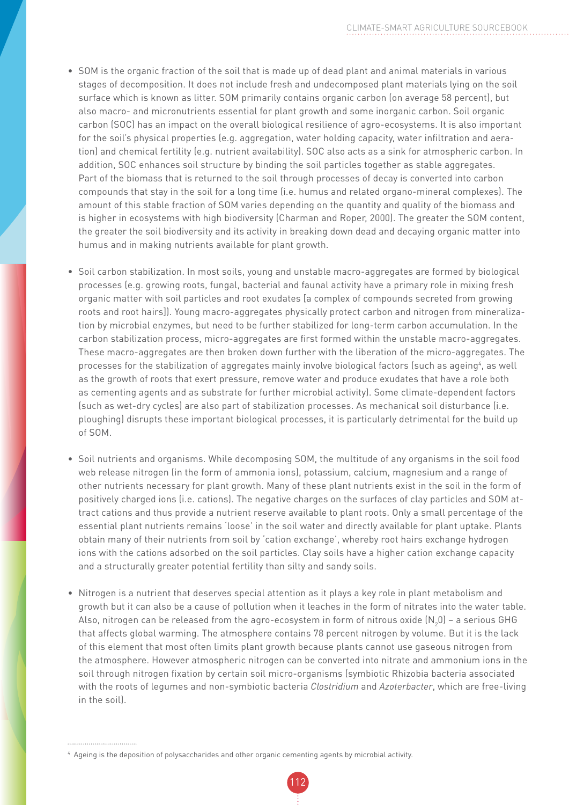- • SOM is the organic fraction of the soil that is made up of dead plant and animal materials in various stages of decomposition. It does not include fresh and undecomposed plant materials lying on the soil surface which is known as litter. SOM primarily contains organic carbon (on average 58 percent), but also macro- and micronutrients essential for plant growth and some inorganic carbon. Soil organic carbon (SOC) has an impact on the overall biological resilience of agro-ecosystems. It is also important for the soil's physical properties (e.g. aggregation, water holding capacity, water infiltration and aeration) and chemical fertility (e.g. nutrient availability). SOC also acts as a sink for atmospheric carbon. In addition, SOC enhances soil structure by binding the soil particles together as stable aggregates. Part of the biomass that is returned to the soil through processes of decay is converted into carbon compounds that stay in the soil for a long time (i.e. humus and related organo-mineral complexes). The amount of this stable fraction of SOM varies depending on the quantity and quality of the biomass and is higher in ecosystems with high biodiversity (Charman and Roper, 2000). The greater the SOM content, the greater the soil biodiversity and its activity in breaking down dead and decaying organic matter into humus and in making nutrients available for plant growth.
- • Soil carbon stabilization. In most soils, young and unstable macro-aggregates are formed by biological processes (e.g. growing roots, fungal, bacterial and faunal activity have a primary role in mixing fresh organic matter with soil particles and root exudates [a complex of compounds secreted from growing roots and root hairs]). Young macro-aggregates physically protect carbon and nitrogen from mineralization by microbial enzymes, but need to be further stabilized for long-term carbon accumulation. In the carbon stabilization process, micro-aggregates are first formed within the unstable macro-aggregates. These macro-aggregates are then broken down further with the liberation of the micro-aggregates. The processes for the stabilization of aggregates mainly involve biological factors (such as ageing<sup>4</sup>, as well as the growth of roots that exert pressure, remove water and produce exudates that have a role both as cementing agents and as substrate for further microbial activity). Some climate-dependent factors (such as wet-dry cycles) are also part of stabilization processes. As mechanical soil disturbance (i.e. ploughing) disrupts these important biological processes, it is particularly detrimental for the build up of SOM.
- • Soil nutrients and organisms. While decomposing SOM, the multitude of any organisms in the soil food web release nitrogen (in the form of ammonia ions), potassium, calcium, magnesium and a range of other nutrients necessary for plant growth. Many of these plant nutrients exist in the soil in the form of positively charged ions (i.e. cations). The negative charges on the surfaces of clay particles and SOM attract cations and thus provide a nutrient reserve available to plant roots. Only a small percentage of the essential plant nutrients remains 'loose' in the soil water and directly available for plant uptake. Plants obtain many of their nutrients from soil by 'cation exchange', whereby root hairs exchange hydrogen ions with the cations adsorbed on the soil particles. Clay soils have a higher cation exchange capacity and a structurally greater potential fertility than silty and sandy soils.
- • Nitrogen is a nutrient that deserves special attention as it plays a key role in plant metabolism and growth but it can also be a cause of pollution when it leaches in the form of nitrates into the water table. Also, nitrogen can be released from the agro-ecosystem in form of nitrous oxide (N<sub>2</sub>0) – a serious GHG that affects global warming. The atmosphere contains 78 percent nitrogen by volume. But it is the lack of this element that most often limits plant growth because plants cannot use gaseous nitrogen from the atmosphere. However atmospheric nitrogen can be converted into nitrate and ammonium ions in the soil through nitrogen fixation by certain soil micro-organisms (symbiotic Rhizobia bacteria associated with the roots of legumes and non-symbiotic bacteria *Clostridium* and *Azoterbacter*, which are free-living in the soil).

<sup>4</sup> Ageing is the deposition of polysaccharides and other organic cementing agents by microbial activity.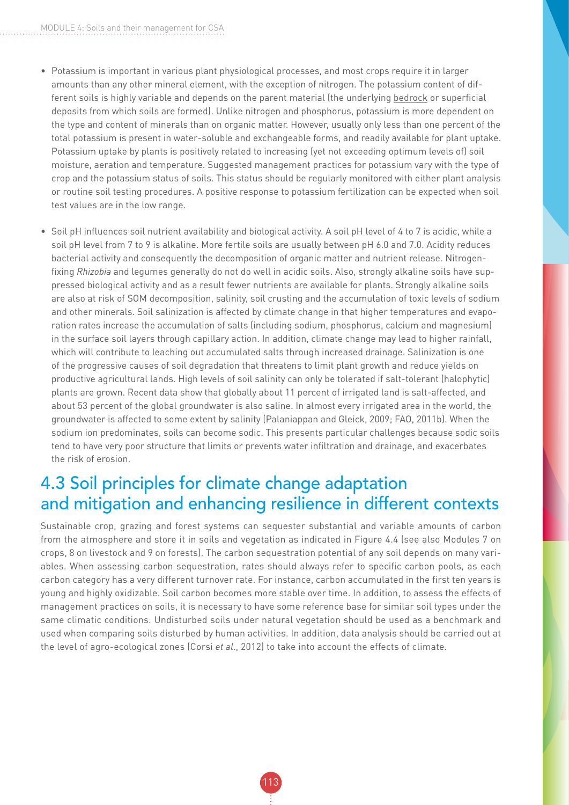- • Potassium is important in various plant physiological processes, and most crops require it in larger amounts than any other mineral element, with the exception of nitrogen. The potassium content of different soils is highly variable and depends on the parent material (the underlying bedrock or superficial deposits from which soils are formed). Unlike nitrogen and phosphorus, potassium is more dependent on the type and content of minerals than on organic matter. However, usually only less than one percent of the total potassium is present in water-soluble and exchangeable forms, and readily available for plant uptake. Potassium uptake by plants is positively related to increasing (yet not exceeding optimum levels of) soil moisture, aeration and temperature. Suggested management practices for potassium vary with the type of crop and the potassium status of soils. This status should be regularly monitored with either plant analysis or routine soil testing procedures. A positive response to potassium fertilization can be expected when soil test values are in the low range.
- • Soil pH influences soil nutrient availability and biological activity. A soil pH level of 4 to 7 is acidic, while a soil pH level from 7 to 9 is alkaline. More fertile soils are usually between pH 6.0 and 7.0. Acidity reduces bacterial activity and consequently the decomposition of organic matter and nutrient release. Nitrogenfixing *Rhizobia* and legumes generally do not do well in acidic soils. Also, strongly alkaline soils have suppressed biological activity and as a result fewer nutrients are available for plants. Strongly alkaline soils are also at risk of SOM decomposition, salinity, soil crusting and the accumulation of toxic levels of sodium and other minerals. Soil salinization is affected by climate change in that higher temperatures and evaporation rates increase the accumulation of salts (including sodium, phosphorus, calcium and magnesium) in the surface soil layers through capillary action. In addition, climate change may lead to higher rainfall, which will contribute to leaching out accumulated salts through increased drainage. Salinization is one of the progressive causes of soil degradation that threatens to limit plant growth and reduce yields on productive agricultural lands. High levels of soil salinity can only be tolerated if salt-tolerant (halophytic) plants are grown. Recent data show that globally about 11 percent of irrigated land is salt-affected, and about 53 percent of the global groundwater is also saline. In almost every irrigated area in the world, the groundwater is affected to some extent by salinity (Palaniappan and Gleick, 2009; FAO, 2011b). When the sodium ion predominates, soils can become sodic. This presents particular challenges because sodic soils tend to have very poor structure that limits or prevents water infiltration and drainage, and exacerbates the risk of erosion.

## 4.3 Soil principles for climate change adaptation and mitigation and enhancing resilience in different contexts

Sustainable crop, grazing and forest systems can sequester substantial and variable amounts of carbon from the atmosphere and store it in soils and vegetation as indicated in Figure 4.4 (see also Modules 7 on crops, 8 on livestock and 9 on forests). The carbon sequestration potential of any soil depends on many variables. When assessing carbon sequestration, rates should always refer to specific carbon pools, as each carbon category has a very different turnover rate. For instance, carbon accumulated in the first ten years is young and highly oxidizable. Soil carbon becomes more stable over time. In addition, to assess the effects of management practices on soils, it is necessary to have some reference base for similar soil types under the same climatic conditions. Undisturbed soils under natural vegetation should be used as a benchmark and used when comparing soils disturbed by human activities. In addition, data analysis should be carried out at the level of agro-ecological zones (Corsi *et al*., 2012) to take into account the effects of climate.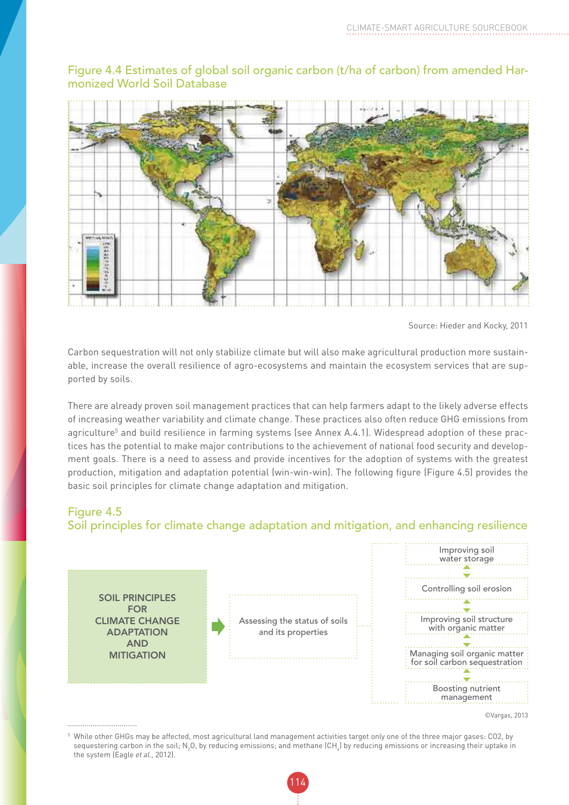

### Figure 4.4 Estimates of global soil organic carbon (t/ha of carbon) from amended Harmonized World Soil Database

Carbon sequestration will not only stabilize climate but will also make agricultural production more sustainable, increase the overall resilience of agro-ecosystems and maintain the ecosystem services that are supported by soils.

There are already proven soil management practices that can help farmers adapt to the likely adverse effects of increasing weather variability and climate change. These practices also often reduce GHG emissions from agriculture<sup>5</sup> and build resilience in farming systems (see Annex A.4.1). Widespread adoption of these practices has the potential to make major contributions to the achievement of national food security and development goals. There is a need to assess and provide incentives for the adoption of systems with the greatest production, mitigation and adaptation potential (win-win-win). The following figure (Figure 4.5) provides the basic soil principles for climate change adaptation and mitigation.

#### Figure 4.5

Soil principles for climate change adaptation and mitigation, and enhancing resilience



©Vargas, 2013

Source: Hieder and Kocky, 2011

 $^{\rm 5}$  While other GHGs may be affected, most agricultural land management activities target only one of the three major gases: CO2, by sequestering carbon in the soil; N<sub>2</sub>O, by reducing emissions; and methane [CH<sub>4</sub>] by reducing emissions or increasing their uptake in the system (Eagle *et al.*, 2012).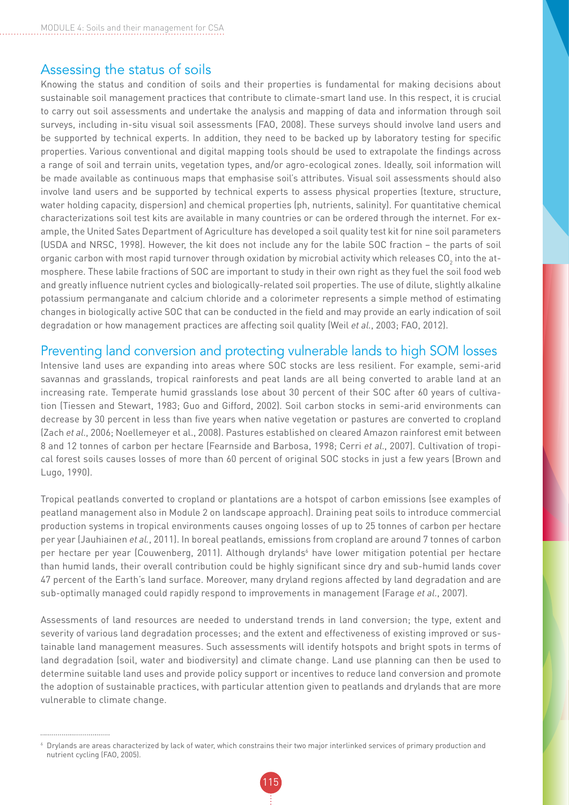#### Assessing the status of soils

Knowing the status and condition of soils and their properties is fundamental for making decisions about sustainable soil management practices that contribute to climate-smart land use. In this respect, it is crucial to carry out soil assessments and undertake the analysis and mapping of data and information through soil surveys, including in-situ visual soil assessments (FAO, 2008). These surveys should involve land users and be supported by technical experts. In addition, they need to be backed up by laboratory testing for specific properties. Various conventional and digital mapping tools should be used to extrapolate the findings across a range of soil and terrain units, vegetation types, and/or agro-ecological zones. Ideally, soil information will be made available as continuous maps that emphasise soil's attributes. Visual soil assessments should also involve land users and be supported by technical experts to assess physical properties (texture, structure, water holding capacity, dispersion) and chemical properties (ph, nutrients, salinity). For quantitative chemical characterizations soil test kits are available in many countries or can be ordered through the internet. For example, the United Sates Department of Agriculture has developed a soil quality test kit for nine soil parameters (USDA and NRSC, 1998). However, the kit does not include any for the labile SOC fraction – the parts of soil organic carbon with most rapid turnover through oxidation by microbial activity which releases CO<sub>2</sub> into the atmosphere. These labile fractions of SOC are important to study in their own right as they fuel the soil food web and greatly influence nutrient cycles and biologically-related soil properties. The use of dilute, slightly alkaline potassium permanganate and calcium chloride and a colorimeter represents a simple method of estimating changes in biologically active SOC that can be conducted in the field and may provide an early indication of soil degradation or how management practices are affecting soil quality (Weil *et al*., 2003; FAO, 2012).

### Preventing land conversion and protecting vulnerable lands to high SOM losses

Intensive land uses are expanding into areas where SOC stocks are less resilient. For example, semi-arid savannas and grasslands, tropical rainforests and peat lands are all being converted to arable land at an increasing rate. Temperate humid grasslands lose about 30 percent of their SOC after 60 years of cultivation (Tiessen and Stewart, 1983; Guo and Gifford, 2002). Soil carbon stocks in semi-arid environments can decrease by 30 percent in less than five years when native vegetation or pastures are converted to cropland (Zach *et al*., 2006; Noellemeyer et al., 2008). Pastures established on cleared Amazon rainforest emit between 8 and 12 tonnes of carbon per hectare (Fearnside and Barbosa, 1998; Cerri *et al*., 2007). Cultivation of tropical forest soils causes losses of more than 60 percent of original SOC stocks in just a few years (Brown and Lugo, 1990).

Tropical peatlands converted to cropland or plantations are a hotspot of carbon emissions (see examples of peatland management also in Module 2 on landscape approach). Draining peat soils to introduce commercial production systems in tropical environments causes ongoing losses of up to 25 tonnes of carbon per hectare per year (Jauhiainen *et al.*, 2011). In boreal peatlands, emissions from cropland are around 7 tonnes of carbon per hectare per year (Couwenberg, 2011). Although drylands<sup>6</sup> have lower mitigation potential per hectare than humid lands, their overall contribution could be highly significant since dry and sub-humid lands cover 47 percent of the Earth's land surface. Moreover, many dryland regions affected by land degradation and are sub-optimally managed could rapidly respond to improvements in management (Farage *et al*., 2007).

Assessments of land resources are needed to understand trends in land conversion; the type, extent and severity of various land degradation processes; and the extent and effectiveness of existing improved or sustainable land management measures. Such assessments will identify hotspots and bright spots in terms of land degradation (soil, water and biodiversity) and climate change. Land use planning can then be used to determine suitable land uses and provide policy support or incentives to reduce land conversion and promote the adoption of sustainable practices, with particular attention given to peatlands and drylands that are more vulnerable to climate change.

 $^{\circ}$  Drylands are areas characterized by lack of water, which constrains their two major interlinked services of primary production and nutrient cycling (FAO, 2005).

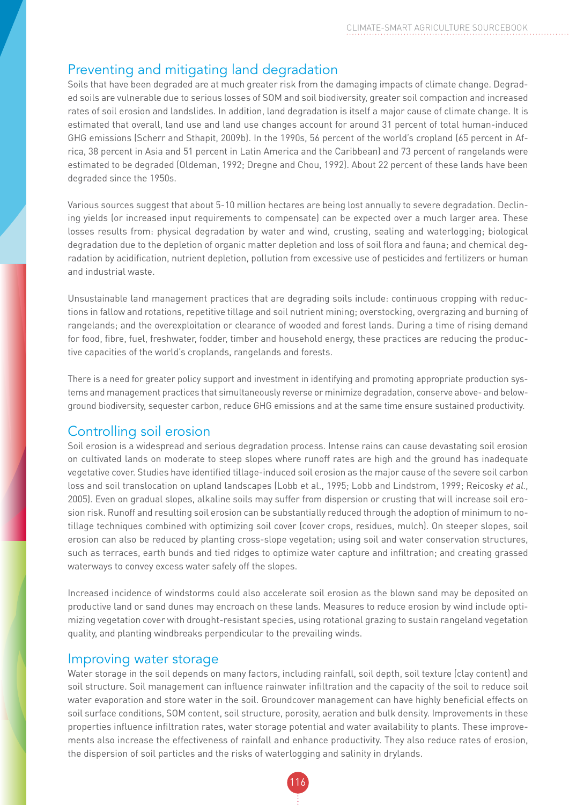#### Preventing and mitigating land degradation

Soils that have been degraded are at much greater risk from the damaging impacts of climate change. Degraded soils are vulnerable due to serious losses of SOM and soil biodiversity, greater soil compaction and increased rates of soil erosion and landslides. In addition, land degradation is itself a major cause of climate change. It is estimated that overall, land use and land use changes account for around 31 percent of total human-induced GHG emissions (Scherr and Sthapit, 2009b). In the 1990s, 56 percent of the world's cropland (65 percent in Africa, 38 percent in Asia and 51 percent in Latin America and the Caribbean) and 73 percent of rangelands were estimated to be degraded (Oldeman, 1992; Dregne and Chou, 1992). About 22 percent of these lands have been degraded since the 1950s.

Various sources suggest that about 5-10 million hectares are being lost annually to severe degradation. Declining yields (or increased input requirements to compensate) can be expected over a much larger area. These losses results from: physical degradation by water and wind, crusting, sealing and waterlogging; biological degradation due to the depletion of organic matter depletion and loss of soil flora and fauna; and chemical degradation by acidification, nutrient depletion, pollution from excessive use of pesticides and fertilizers or human and industrial waste.

Unsustainable land management practices that are degrading soils include: continuous cropping with reductions in fallow and rotations, repetitive tillage and soil nutrient mining; overstocking, overgrazing and burning of rangelands; and the overexploitation or clearance of wooded and forest lands. During a time of rising demand for food, fibre, fuel, freshwater, fodder, timber and household energy, these practices are reducing the productive capacities of the world's croplands, rangelands and forests.

There is a need for greater policy support and investment in identifying and promoting appropriate production systems and management practices that simultaneously reverse or minimize degradation, conserve above- and belowground biodiversity, sequester carbon, reduce GHG emissions and at the same time ensure sustained productivity.

#### Controlling soil erosion

Soil erosion is a widespread and serious degradation process. Intense rains can cause devastating soil erosion on cultivated lands on moderate to steep slopes where runoff rates are high and the ground has inadequate vegetative cover. Studies have identified tillage-induced soil erosion as the major cause of the severe soil carbon loss and soil translocation on upland landscapes (Lobb et al., 1995; Lobb and Lindstrom, 1999; Reicosky *et al*., 2005). Even on gradual slopes, alkaline soils may suffer from dispersion or crusting that will increase soil erosion risk. Runoff and resulting soil erosion can be substantially reduced through the adoption of minimum to notillage techniques combined with optimizing soil cover (cover crops, residues, mulch). On steeper slopes, soil erosion can also be reduced by planting cross-slope vegetation; using soil and water conservation structures, such as terraces, earth bunds and tied ridges to optimize water capture and infiltration; and creating grassed waterways to convey excess water safely off the slopes.

Increased incidence of windstorms could also accelerate soil erosion as the blown sand may be deposited on productive land or sand dunes may encroach on these lands. Measures to reduce erosion by wind include optimizing vegetation cover with drought-resistant species, using rotational grazing to sustain rangeland vegetation quality, and planting windbreaks perpendicular to the prevailing winds.

#### Improving water storage

Water storage in the soil depends on many factors, including rainfall, soil depth, soil texture (clay content) and soil structure. Soil management can influence rainwater infiltration and the capacity of the soil to reduce soil water evaporation and store water in the soil. Groundcover management can have highly beneficial effects on soil surface conditions, SOM content, soil structure, porosity, aeration and bulk density. Improvements in these properties influence infiltration rates, water storage potential and water availability to plants. These improvements also increase the effectiveness of rainfall and enhance productivity. They also reduce rates of erosion, the dispersion of soil particles and the risks of waterlogging and salinity in drylands.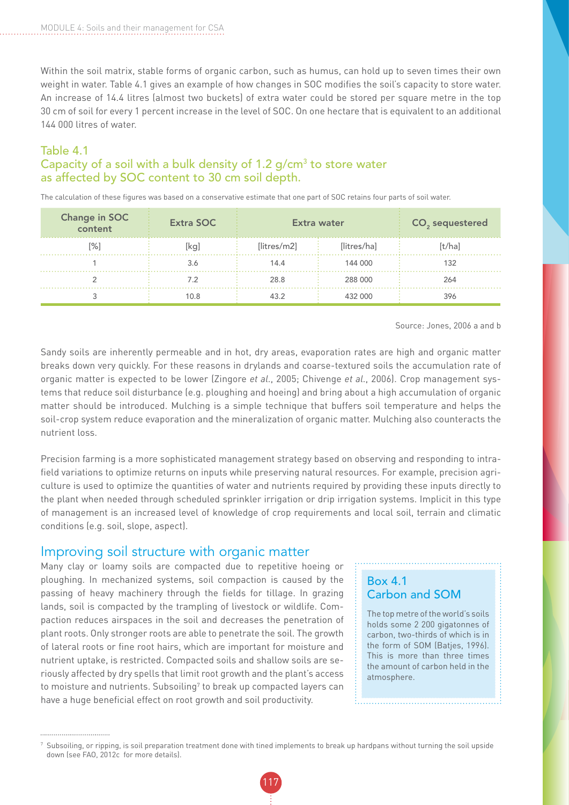Within the soil matrix, stable forms of organic carbon, such as humus, can hold up to seven times their own weight in water. Table 4.1 gives an example of how changes in SOC modifies the soil's capacity to store water. An increase of 14.4 litres (almost two buckets) of extra water could be stored per square metre in the top 30 cm of soil for every 1 percent increase in the level of SOC. On one hectare that is equivalent to an additional 144 000 litres of water.

#### Table 4.1 Capacity of a soil with a bulk density of 1.2 g/cm $^3$  to store water as affected by SOC content to 30 cm soil depth.

| <b>Change in SOC</b><br>content | <b>Extra SOC</b> | <b>Extra water</b> |             | CO <sub>2</sub> sequestered |
|---------------------------------|------------------|--------------------|-------------|-----------------------------|
| <b>1%</b>                       | [kg]             | [litres/m2]        | [litres/ha] | [t/ha]                      |
|                                 | 3.6              | 14.4               | 144 000     | 132                         |
|                                 | 7.2              | 28.8               | 288 000     | 264                         |
|                                 | 10.8             | 43.2               | 432 000     | 396                         |

The calculation of these figures was based on a conservative estimate that one part of SOC retains four parts of soil water.

Source: Jones, 2006 a and b

Sandy soils are inherently permeable and in hot, dry areas, evaporation rates are high and organic matter breaks down very quickly. For these reasons in drylands and coarse-textured soils the accumulation rate of organic matter is expected to be lower (Zingore *et al*., 2005; Chivenge *et al*., 2006). Crop management systems that reduce soil disturbance (e.g. ploughing and hoeing) and bring about a high accumulation of organic matter should be introduced. Mulching is a simple technique that buffers soil temperature and helps the soil-crop system reduce evaporation and the mineralization of organic matter. Mulching also counteracts the nutrient loss.

Precision farming is a more sophisticated management strategy based on observing and responding to intrafield variations to optimize returns on inputs while preserving natural resources. For example, precision agriculture is used to optimize the quantities of water and nutrients required by providing these inputs directly to the plant when needed through scheduled sprinkler irrigation or drip irrigation systems. Implicit in this type of management is an increased level of knowledge of crop requirements and local soil, terrain and climatic conditions (e.g. soil, slope, aspect).

#### Improving soil structure with organic matter

Many clay or loamy soils are compacted due to repetitive hoeing or ploughing. In mechanized systems, soil compaction is caused by the passing of heavy machinery through the fields for tillage. In grazing lands, soil is compacted by the trampling of livestock or wildlife. Compaction reduces airspaces in the soil and decreases the penetration of plant roots. Only stronger roots are able to penetrate the soil. The growth of lateral roots or fine root hairs, which are important for moisture and nutrient uptake, is restricted. Compacted soils and shallow soils are seriously affected by dry spells that limit root growth and the plant's access to moisture and nutrients. Subsoiling<sup>7</sup> to break up compacted layers can have a huge beneficial effect on root growth and soil productivity.

#### Box 4.1 Carbon and SOM

The top metre of the world's soils holds some 2 200 gigatonnes of carbon, two-thirds of which is in the form of SOM (Batjes, 1996). This is more than three times the amount of carbon held in the atmosphere.

 $^\tau$  Subsoiling, or ripping, is soil preparation treatment done with tined implements to break up hardpans without turning the soil upside down (see FAO, 2012c for more details).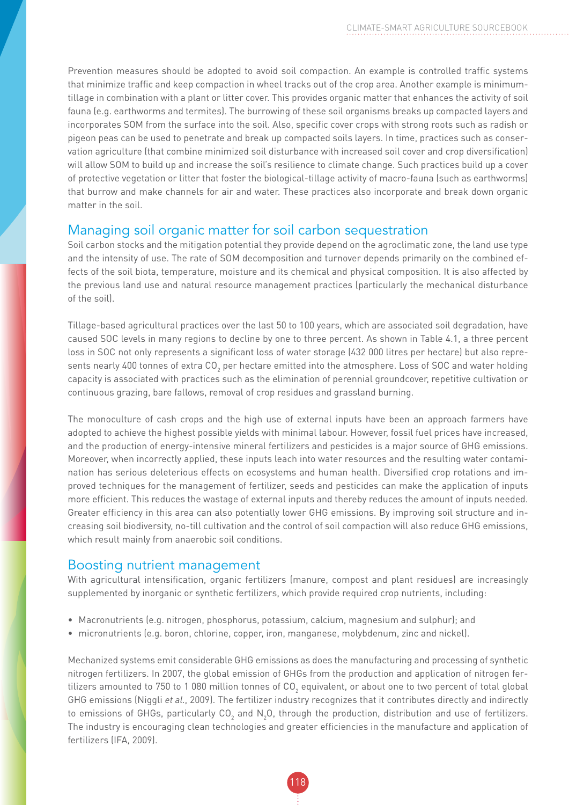Prevention measures should be adopted to avoid soil compaction. An example is controlled traffic systems that minimize traffic and keep compaction in wheel tracks out of the crop area. Another example is minimumtillage in combination with a plant or litter cover. This provides organic matter that enhances the activity of soil fauna (e.g. earthworms and termites). The burrowing of these soil organisms breaks up compacted layers and incorporates SOM from the surface into the soil. Also, specific cover crops with strong roots such as radish or pigeon peas can be used to penetrate and break up compacted soils layers. In time, practices such as conservation agriculture (that combine minimized soil disturbance with increased soil cover and crop diversification) will allow SOM to build up and increase the soil's resilience to climate change. Such practices build up a cover of protective vegetation or litter that foster the biological-tillage activity of macro-fauna (such as earthworms) that burrow and make channels for air and water. These practices also incorporate and break down organic matter in the soil.

#### Managing soil organic matter for soil carbon sequestration

Soil carbon stocks and the mitigation potential they provide depend on the agroclimatic zone, the land use type and the intensity of use. The rate of SOM decomposition and turnover depends primarily on the combined effects of the soil biota, temperature, moisture and its chemical and physical composition. It is also affected by the previous land use and natural resource management practices (particularly the mechanical disturbance of the soil).

Tillage-based agricultural practices over the last 50 to 100 years, which are associated soil degradation, have caused SOC levels in many regions to decline by one to three percent. As shown in Table 4.1, a three percent loss in SOC not only represents a significant loss of water storage (432 000 litres per hectare) but also represents nearly 400 tonnes of extra CO $_{\rm 2}$  per hectare emitted into the atmosphere. Loss of SOC and water holding capacity is associated with practices such as the elimination of perennial groundcover, repetitive cultivation or continuous grazing, bare fallows, removal of crop residues and grassland burning.

The monoculture of cash crops and the high use of external inputs have been an approach farmers have adopted to achieve the highest possible yields with minimal labour. However, fossil fuel prices have increased, and the production of energy-intensive mineral fertilizers and pesticides is a major source of GHG emissions. Moreover, when incorrectly applied, these inputs leach into water resources and the resulting water contamination has serious deleterious effects on ecosystems and human health. Diversified crop rotations and improved techniques for the management of fertilizer, seeds and pesticides can make the application of inputs more efficient. This reduces the wastage of external inputs and thereby reduces the amount of inputs needed. Greater efficiency in this area can also potentially lower GHG emissions. By improving soil structure and increasing soil biodiversity, no-till cultivation and the control of soil compaction will also reduce GHG emissions, which result mainly from anaerobic soil conditions.

#### Boosting nutrient management

With agricultural intensification, organic fertilizers (manure, compost and plant residues) are increasingly supplemented by inorganic or synthetic fertilizers, which provide required crop nutrients, including:

- • Macronutrients (e.g. nitrogen, phosphorus, potassium, calcium, magnesium and sulphur); and
- • micronutrients (e.g. boron, chlorine, copper, iron, manganese, molybdenum, zinc and nickel).

Mechanized systems emit considerable GHG emissions as does the manufacturing and processing of synthetic nitrogen fertilizers. In 2007, the global emission of GHGs from the production and application of nitrogen fertilizers amounted to 750 to 1 080 million tonnes of CO $_2$  equivalent, or about one to two percent of total global GHG emissions (Niggli *et al*., 2009). The fertilizer industry recognizes that it contributes directly and indirectly to emissions of GHGs, particularly CO<sub>2</sub> and N<sub>2</sub>O, through the production, distribution and use of fertilizers. The industry is encouraging clean technologies and greater efficiencies in the manufacture and application of fertilizers (IFA, 2009).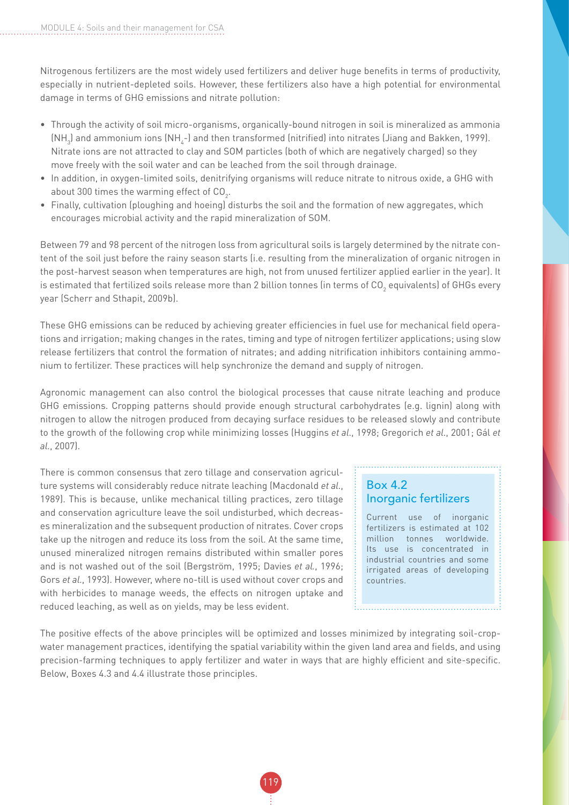Nitrogenous fertilizers are the most widely used fertilizers and deliver huge benefits in terms of productivity, especially in nutrient-depleted soils. However, these fertilizers also have a high potential for environmental damage in terms of GHG emissions and nitrate pollution:

- • Through the activity of soil micro-organisms, organically-bound nitrogen in soil is mineralized as ammonia (NH<sub>3</sub>) and ammonium ions (NH<sub>4</sub>-) and then transformed (nitrified) into nitrates (Jiang and Bakken, 1999). Nitrate ions are not attracted to clay and SOM particles (both of which are negatively charged) so they move freely with the soil water and can be leached from the soil through drainage.
- • In addition, in oxygen-limited soils, denitrifying organisms will reduce nitrate to nitrous oxide, a GHG with about 300 times the warming effect of CO<sub>2</sub>.
- • Finally, cultivation (ploughing and hoeing) disturbs the soil and the formation of new aggregates, which encourages microbial activity and the rapid mineralization of SOM.

Between 79 and 98 percent of the nitrogen loss from agricultural soils is largely determined by the nitrate content of the soil just before the rainy season starts (i.e. resulting from the mineralization of organic nitrogen in the post-harvest season when temperatures are high, not from unused fertilizer applied earlier in the year). It is estimated that fertilized soils release more than 2 billion tonnes (in terms of CO $_{_2}$  equivalents) of GHGs every year (Scherr and Sthapit, 2009b).

These GHG emissions can be reduced by achieving greater efficiencies in fuel use for mechanical field operations and irrigation; making changes in the rates, timing and type of nitrogen fertilizer applications; using slow release fertilizers that control the formation of nitrates; and adding nitrification inhibitors containing ammonium to fertilizer. These practices will help synchronize the demand and supply of nitrogen.

Agronomic management can also control the biological processes that cause nitrate leaching and produce GHG emissions. Cropping patterns should provide enough structural carbohydrates (e.g. lignin) along with nitrogen to allow the nitrogen produced from decaying surface residues to be released slowly and contribute to the growth of the following crop while minimizing losses (Huggins *et al*., 1998; Gregorich *et al*., 2001; Gál *et al*., 2007).

There is common consensus that zero tillage and conservation agriculture systems will considerably reduce nitrate leaching (Macdonald *et al*., 1989). This is because, unlike mechanical tilling practices, zero tillage and conservation agriculture leave the soil undisturbed, which decreases mineralization and the subsequent production of nitrates. Cover crops take up the nitrogen and reduce its loss from the soil. At the same time, unused mineralized nitrogen remains distributed within smaller pores and is not washed out of the soil (Bergström, 1995; Davies *et al.*, 1996; Gors *et al*., 1993). However, where no-till is used without cover crops and with herbicides to manage weeds, the effects on nitrogen uptake and reduced leaching, as well as on yields, may be less evident.

#### The positive effects of the above principles will be optimized and losses minimized by integrating soil-cropwater management practices, identifying the spatial variability within the given land area and fields, and using precision-farming techniques to apply fertilizer and water in ways that are highly efficient and site-specific. Below, Boxes 4.3 and 4.4 illustrate those principles.

#### Box 4.2 Inorganic fertilizers

Current use of inorganic fertilizers is estimated at 102 million tonnes worldwide. Its use is concentrated in industrial countries and some irrigated areas of developing countries.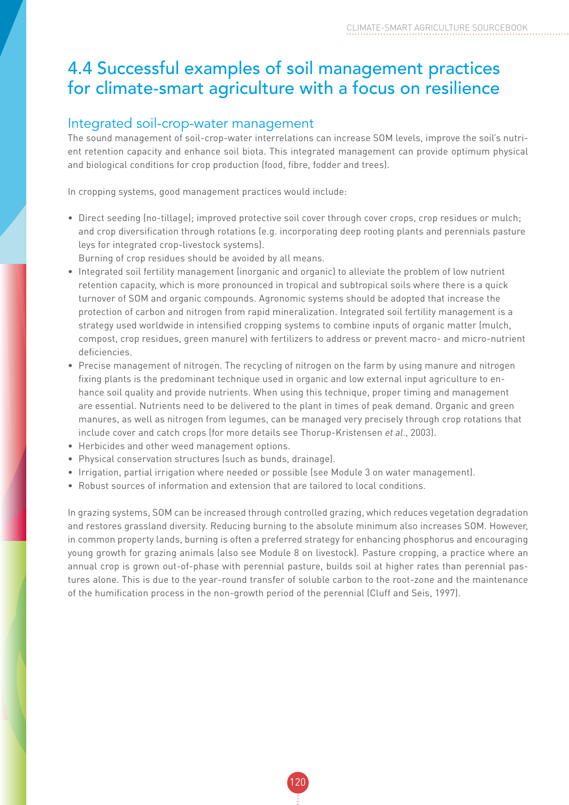## 4.4 Successful examples of soil management practices for climate-smart agriculture with a focus on resilience

### Integrated soil-crop-water management

The sound management of soil-crop-water interrelations can increase SOM levels, improve the soil's nutrient retention capacity and enhance soil biota. This integrated management can provide optimum physical and biological conditions for crop production (food, fibre, fodder and trees).

In cropping systems, good management practices would include:

• Direct seeding (no-tillage); improved protective soil cover through cover crops, crop residues or mulch; and crop diversification through rotations (e.g. incorporating deep rooting plants and perennials pasture leys for integrated crop-livestock systems).

Burning of crop residues should be avoided by all means.

- • Integrated soil fertility management (inorganic and organic) to alleviate the problem of low nutrient retention capacity, which is more pronounced in tropical and subtropical soils where there is a quick turnover of SOM and organic compounds. Agronomic systems should be adopted that increase the protection of carbon and nitrogen from rapid mineralization. Integrated soil fertility management is a strategy used worldwide in intensified cropping systems to combine inputs of organic matter (mulch, compost, crop residues, green manure) with fertilizers to address or prevent macro- and micro-nutrient deficiencies.
- Precise management of nitrogen. The recycling of nitrogen on the farm by using manure and nitrogen fixing plants is the predominant technique used in organic and low external input agriculture to enhance soil quality and provide nutrients. When using this technique, proper timing and management are essential. Nutrients need to be delivered to the plant in times of peak demand. Organic and green manures, as well as nitrogen from legumes, can be managed very precisely through crop rotations that include cover and catch crops (for more details see Thorup-Kristensen *et al*., 2003).
- • Herbicides and other weed management options.
- Physical conservation structures (such as bunds, drainage).
- • Irrigation, partial irrigation where needed or possible (see Module 3 on water management).
- • Robust sources of information and extension that are tailored to local conditions.

In grazing systems, SOM can be increased through controlled grazing, which reduces vegetation degradation and restores grassland diversity. Reducing burning to the absolute minimum also increases SOM. However, in common property lands, burning is often a preferred strategy for enhancing phosphorus and encouraging young growth for grazing animals (also see Module 8 on livestock). Pasture cropping, a practice where an annual crop is grown out-of-phase with perennial pasture, builds soil at higher rates than perennial pastures alone. This is due to the year-round transfer of soluble carbon to the root-zone and the maintenance of the humification process in the non-growth period of the perennial (Cluff and Seis, 1997).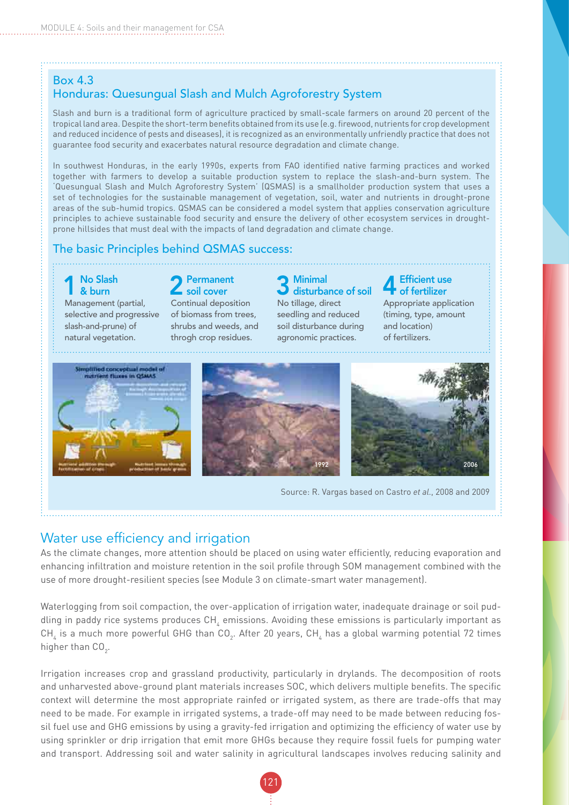### Box 4.3 Honduras: Quesungual Slash and Mulch Agroforestry System

Slash and burn is a traditional form of agriculture practiced by small-scale farmers on around 20 percent of the tropical land area. Despite the short-term benefits obtained from its use (e.g. firewood, nutrients for crop development and reduced incidence of pests and diseases), it is recognized as an environmentally unfriendly practice that does not guarantee food security and exacerbates natural resource degradation and climate change.

In southwest Honduras, in the early 1990s, experts from FAO identified native farming practices and worked together with farmers to develop a suitable production system to replace the slash-and-burn system. The 'Quesungual Slash and Mulch Agroforestry System' (QSMAS) is a smallholder production system that uses a set of technologies for the sustainable management of vegetation, soil, water and nutrients in drought-prone areas of the sub-humid tropics. QSMAS can be considered a model system that applies conservation agriculture principles to achieve sustainable food security and ensure the delivery of other ecosystem services in droughtprone hillsides that must deal with the impacts of land degradation and climate change.

#### The basic Principles behind QSMAS success:

#### No Slash & burn

Management (partial, selective and progressive slash-and-prune) of natural vegetation.

# 2 Permanent soil cover

Continual deposition of biomass from trees, shrubs and weeds, and throgh crop residues.

3 Minimal<br>3 disturbance of soil

No tillage, direct seedling and reduced soil disturbance during agronomic practices.



Appropriate application (timing, type, amount and location) of fertilizers.







Source: R. Vargas based on Castro *et al*., 2008 and 2009

### Water use efficiency and irrigation

As the climate changes, more attention should be placed on using water efficiently, reducing evaporation and enhancing infiltration and moisture retention in the soil profile through SOM management combined with the use of more drought-resilient species (see Module 3 on climate-smart water management).

Waterlogging from soil compaction, the over-application of irrigation water, inadequate drainage or soil puddling in paddy rice systems produces CH $_{_4}$  emissions. Avoiding these emissions is particularly important as CH $_{_4}$  is a much more powerful GHG than CO $_{_2}$ . After 20 years, CH $_{_4}$  has a global warming potential 72 times higher than CO<sub>2</sub>.

Irrigation increases crop and grassland productivity, particularly in drylands. The decomposition of roots and unharvested above-ground plant materials increases SOC, which delivers multiple benefits. The specific context will determine the most appropriate rainfed or irrigated system, as there are trade-offs that may need to be made. For example in irrigated systems, a trade-off may need to be made between reducing fossil fuel use and GHG emissions by using a gravity-fed irrigation and optimizing the efficiency of water use by using sprinkler or drip irrigation that emit more GHGs because they require fossil fuels for pumping water and transport. Addressing soil and water salinity in agricultural landscapes involves reducing salinity and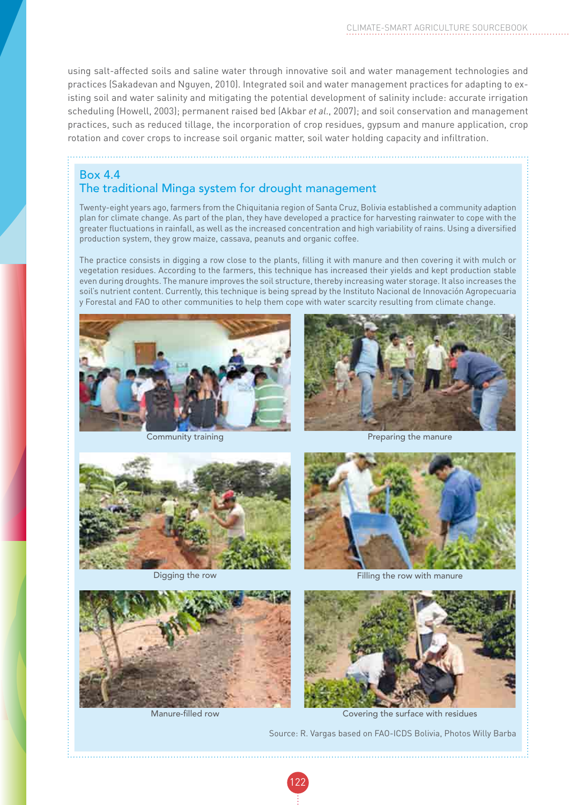using salt-affected soils and saline water through innovative soil and water management technologies and practices (Sakadevan and Nguyen, 2010). Integrated soil and water management practices for adapting to existing soil and water salinity and mitigating the potential development of salinity include: accurate irrigation scheduling (Howell, 2003); permanent raised bed (Akbar *et al*., 2007); and soil conservation and management practices, such as reduced tillage, the incorporation of crop residues, gypsum and manure application, crop rotation and cover crops to increase soil organic matter, soil water holding capacity and infiltration.

#### Box 4.4 The traditional Minga system for drought management

Twenty-eight years ago, farmers from the Chiquitania region of Santa Cruz, Bolivia established a community adaption plan for climate change. As part of the plan, they have developed a practice for harvesting rainwater to cope with the greater fluctuations in rainfall, as well as the increased concentration and high variability of rains. Using a diversified production system, they grow maize, cassava, peanuts and organic coffee.

The practice consists in digging a row close to the plants, filling it with manure and then covering it with mulch or vegetation residues. According to the farmers, this technique has increased their yields and kept production stable even during droughts. The manure improves the soil structure, thereby increasing water storage. It also increases the soil's nutrient content. Currently, this technique is being spread by the Instituto Nacional de Innovación Agropecuaria y Forestal and FAO to other communities to help them cope with water scarcity resulting from climate change.

122





Community training **Preparing the manure** Preparing the manure





Digging the row **Filling** the row with manure







Source: R. Vargas based on FAO-ICDS Bolivia, Photos Willy Barba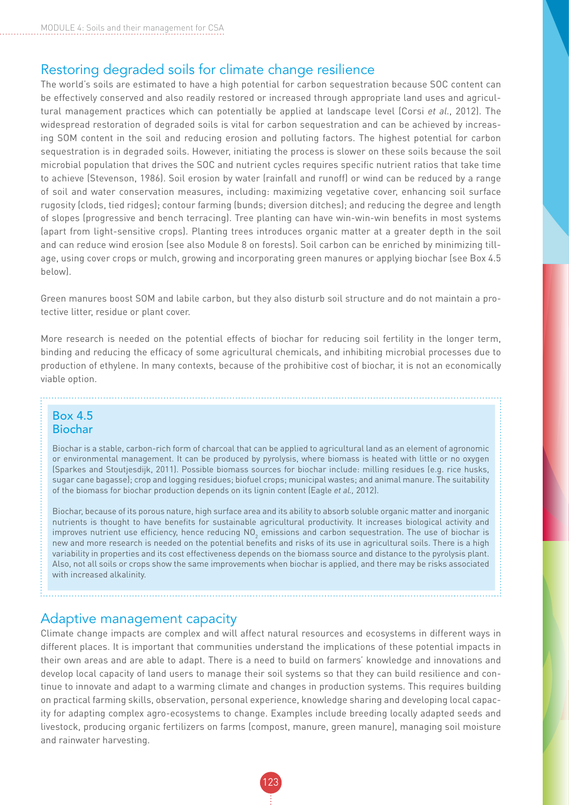#### Restoring degraded soils for climate change resilience

The world's soils are estimated to have a high potential for carbon sequestration because SOC content can be effectively conserved and also readily restored or increased through appropriate land uses and agricultural management practices which can potentially be applied at landscape level (Corsi *et al*., 2012). The widespread restoration of degraded soils is vital for carbon sequestration and can be achieved by increasing SOM content in the soil and reducing erosion and polluting factors. The highest potential for carbon sequestration is in degraded soils. However, initiating the process is slower on these soils because the soil microbial population that drives the SOC and nutrient cycles requires specific nutrient ratios that take time to achieve (Stevenson, 1986). Soil erosion by water (rainfall and runoff) or wind can be reduced by a range of soil and water conservation measures, including: maximizing vegetative cover, enhancing soil surface rugosity (clods, tied ridges); contour farming (bunds; diversion ditches); and reducing the degree and length of slopes (progressive and bench terracing). Tree planting can have win-win-win benefits in most systems (apart from light-sensitive crops). Planting trees introduces organic matter at a greater depth in the soil and can reduce wind erosion (see also Module 8 on forests). Soil carbon can be enriched by minimizing tillage, using cover crops or mulch, growing and incorporating green manures or applying biochar (see Box 4.5 below).

Green manures boost SOM and labile carbon, but they also disturb soil structure and do not maintain a protective litter, residue or plant cover.

More research is needed on the potential effects of biochar for reducing soil fertility in the longer term, binding and reducing the efficacy of some agricultural chemicals, and inhibiting microbial processes due to production of ethylene. In many contexts, because of the prohibitive cost of biochar, it is not an economically viable option.

#### Box 4.5 Biochar

Biochar is a stable, carbon-rich form of charcoal that can be applied to agricultural land as an element of agronomic or environmental management. It can be produced by pyrolysis, where biomass is heated with little or no oxygen (Sparkes and Stoutjesdijk, 2011). Possible biomass sources for biochar include: milling residues (e.g. rice husks, sugar cane bagasse); crop and logging residues; biofuel crops; municipal wastes; and animal manure. The suitability of the biomass for biochar production depends on its lignin content (Eagle *et al.,* 2012).

Biochar, because of its porous nature, high surface area and its ability to absorb soluble organic matter and inorganic nutrients is thought to have benefits for sustainable agricultural productivity. It increases biological activity and improves nutrient use efficiency, hence reducing NO $_2$  emissions and carbon sequestration. The use of biochar is new and more research is needed on the potential benefits and risks of its use in agricultural soils. There is a high variability in properties and its cost effectiveness depends on the biomass source and distance to the pyrolysis plant. Also, not all soils or crops show the same improvements when biochar is applied, and there may be risks associated with increased alkalinity.

#### Adaptive management capacity

Climate change impacts are complex and will affect natural resources and ecosystems in different ways in different places. It is important that communities understand the implications of these potential impacts in their own areas and are able to adapt. There is a need to build on farmers' knowledge and innovations and develop local capacity of land users to manage their soil systems so that they can build resilience and continue to innovate and adapt to a warming climate and changes in production systems. This requires building on practical farming skills, observation, personal experience, knowledge sharing and developing local capacity for adapting complex agro-ecosystems to change. Examples include breeding locally adapted seeds and livestock, producing organic fertilizers on farms (compost, manure, green manure), managing soil moisture and rainwater harvesting.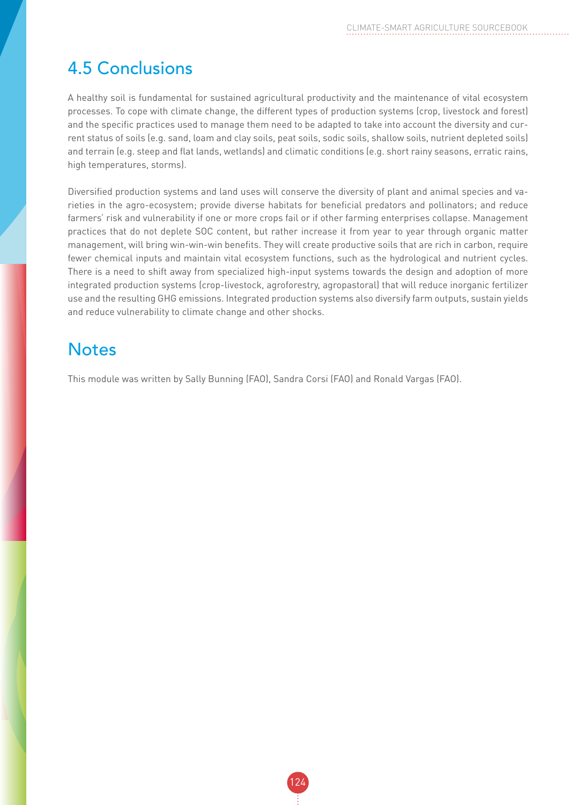# 4.5 Conclusions

A healthy soil is fundamental for sustained agricultural productivity and the maintenance of vital ecosystem processes. To cope with climate change, the different types of production systems (crop, livestock and forest) and the specific practices used to manage them need to be adapted to take into account the diversity and current status of soils (e.g. sand, loam and clay soils, peat soils, sodic soils, shallow soils, nutrient depleted soils) and terrain (e.g. steep and flat lands, wetlands) and climatic conditions (e.g. short rainy seasons, erratic rains, high temperatures, storms).

Diversified production systems and land uses will conserve the diversity of plant and animal species and varieties in the agro-ecosystem; provide diverse habitats for beneficial predators and pollinators; and reduce farmers' risk and vulnerability if one or more crops fail or if other farming enterprises collapse. Management practices that do not deplete SOC content, but rather increase it from year to year through organic matter management, will bring win-win-win benefits. They will create productive soils that are rich in carbon, require fewer chemical inputs and maintain vital ecosystem functions, such as the hydrological and nutrient cycles. There is a need to shift away from specialized high-input systems towards the design and adoption of more integrated production systems (crop-livestock, agroforestry, agropastoral) that will reduce inorganic fertilizer use and the resulting GHG emissions. Integrated production systems also diversify farm outputs, sustain yields and reduce vulnerability to climate change and other shocks.

124

## **Notes**

This module was written by Sally Bunning (FAO), Sandra Corsi (FAO) and Ronald Vargas (FAO).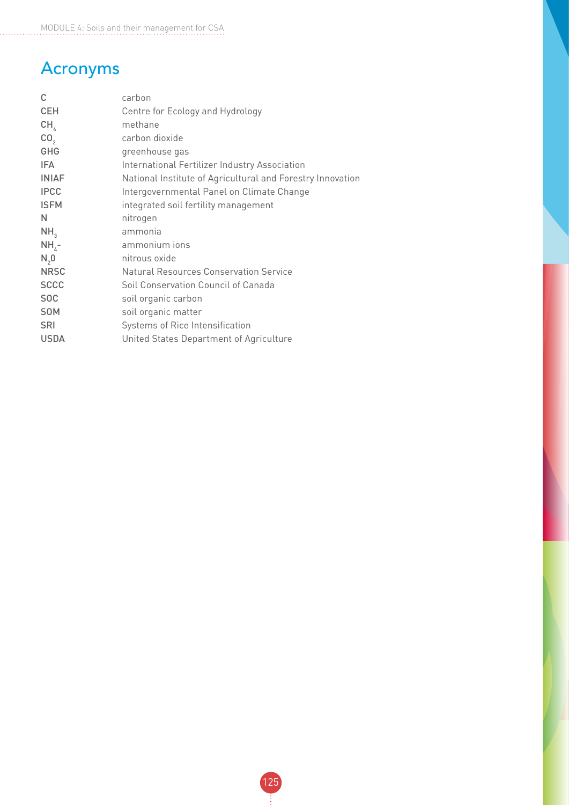# Acronyms

| C               | carbon                                                     |
|-----------------|------------------------------------------------------------|
| <b>CEH</b>      | Centre for Ecology and Hydrology                           |
| CH <sub>2</sub> | methane                                                    |
| CO <sub>2</sub> | carbon dioxide                                             |
| GHG             | greenhouse gas                                             |
| IFA.            | International Fertilizer Industry Association              |
| <b>INIAF</b>    | National Institute of Agricultural and Forestry Innovation |
| <b>IPCC</b>     | Intergovernmental Panel on Climate Change                  |
| <b>ISFM</b>     | integrated soil fertility management                       |
| N               | nitrogen                                                   |
| NH <sub>3</sub> | ammonia                                                    |
| $NH_{2}$ -      | ammonium ions                                              |
| N,0             | nitrous oxide                                              |
| <b>NRSC</b>     | Natural Resources Conservation Service                     |
| <b>SCCC</b>     | Soil Conservation Council of Canada                        |
| <b>SOC</b>      | soil organic carbon                                        |
| <b>SOM</b>      | soil organic matter                                        |
| <b>SRI</b>      | Systems of Rice Intensification                            |
| <b>USDA</b>     | United States Department of Agriculture                    |
|                 |                                                            |

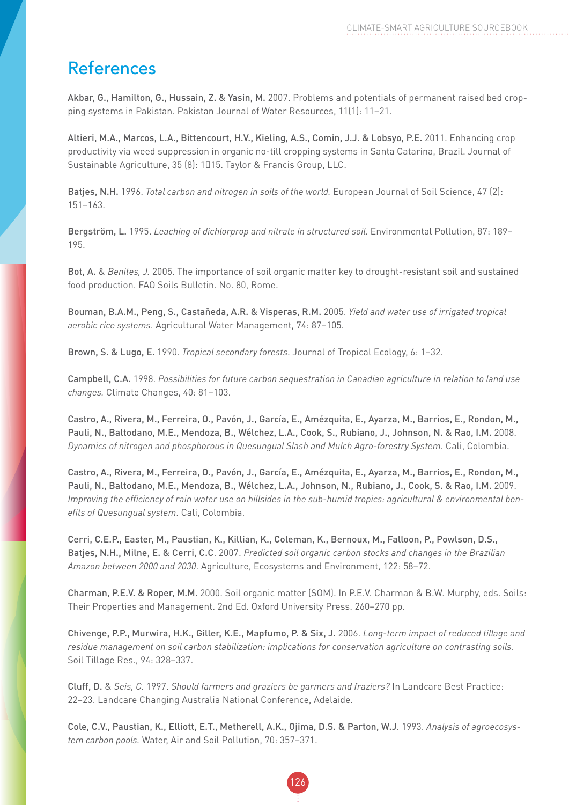## **References**

Akbar, G., Hamilton, G., Hussain, Z. & Yasin, M. 2007. Problems and potentials of permanent raised bed cropping systems in Pakistan. Pakistan Journal of Water Resources, 11(1): 11–21.

Altieri, M.A., Marcos, L.A., Bittencourt, H.V., Kieling, A.S., Comin, J.J. & Lobsyo, P.E. 2011. Enhancing crop productivity via weed suppression in organic no-till cropping systems in Santa Catarina, Brazil. Journal of Sustainable Agriculture, 35 (8): 1 15. Taylor & Francis Group, LLC.

Batjes, N.H. 1996. *Total carbon and nitrogen in soils of the world.* European Journal of Soil Science, 47 (2): 151–163.

Bergström, L. 1995. *Leaching of dichlorprop and nitrate in structured soil.* Environmental Pollution, 87: 189– 195.

Bot, A. & *Benites, J.* 2005. The importance of soil organic matter key to drought-resistant soil and sustained food production. FAO Soils Bulletin. No. 80, Rome.

Bouman, B.A.M., Peng, S., Castaňeda, A.R. & Visperas, R.M. 2005. *Yield and water use of irrigated tropical aerobic rice systems*. Agricultural Water Management, 74: 87–105.

Brown, S. & Lugo, E. 1990. *Tropical secondary forests*. Journal of Tropical Ecology, 6: 1–32.

Campbell, C.A. 1998. *Possibilities for future carbon sequestration in Canadian agriculture in relation to land use changes.* Climate Changes, 40: 81–103.

Castro, A., Rivera, M., Ferreira, O., Pavón, J., García, E., Amézquita, E., Ayarza, M., Barrios, E., Rondon, M., Pauli, N., Baltodano, M.E., Mendoza, B., Wélchez, L.A., Cook, S., Rubiano, J., Johnson, N. & Rao, I.M. 2008. *Dynamics of nitrogen and phosphorous in Quesungual Slash and Mulch Agro-forestry System*. Cali, Colombia.

Castro, A., Rivera, M., Ferreira, O., Pavón, J., García, E., Amézquita, E., Ayarza, M., Barrios, E., Rondon, M., Pauli, N., Baltodano, M.E., Mendoza, B., Wélchez, L.A., Johnson, N., Rubiano, J., Cook, S. & Rao, I.M. 2009. *Improving the efficiency of rain water use on hillsides in the sub-humid tropics: agricultural & environmental benefits of Quesungual system*. Cali, Colombia.

Cerri, C.E.P., Easter, M., Paustian, K., Killian, K., Coleman, K., Bernoux, M., Falloon, P., Powlson, D.S., Batjes, N.H., Milne, E. & Cerri, C.C. 2007. *Predicted soil organic carbon stocks and changes in the Brazilian Amazon between 2000 and 2030*. Agriculture, Ecosystems and Environment, 122: 58–72.

Charman, P.E.V. & Roper, M.M. 2000. Soil organic matter (SOM). In P.E.V. Charman & B.W. Murphy, eds. Soils: Their Properties and Management. 2nd Ed. Oxford University Press. 260–270 pp.

Chivenge, P.P., Murwira, H.K., Giller, K.E., Mapfumo, P. & Six, J. 2006. *Long-term impact of reduced tillage and residue management on soil carbon stabilization: implications for conservation agriculture on contrasting soils.* Soil Tillage Res., 94: 328–337.

Cluff, D. & *Seis, C.* 1997. *Should farmers and graziers be garmers and fraziers?* In Landcare Best Practice: 22–23. Landcare Changing Australia National Conference, Adelaide.

Cole, C.V., Paustian, K., Elliott, E.T., Metherell, A.K., Ojima, D.S. & Parton, W.J. 1993. *Analysis of agroecosystem carbon pools.* Water, Air and Soil Pollution, 70: 357–371.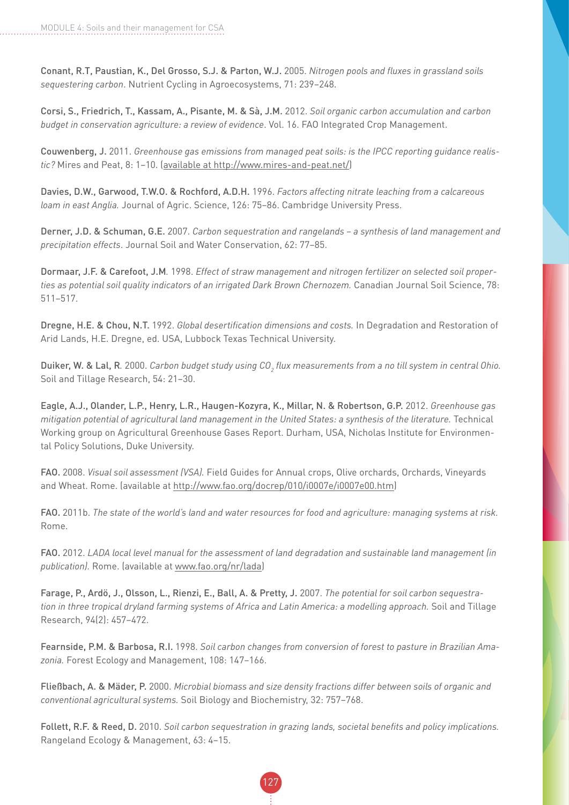Conant, R.T, Paustian, K., Del Grosso, S.J. & Parton, W.J. 2005. *Nitrogen pools and fluxes in grassland soils sequestering carbon*. Nutrient Cycling in Agroecosystems, 71: 239–248.

Corsi, S., Friedrich, T., Kassam, A., Pisante, M. & Sà, J.M. 2012. *Soil organic carbon accumulation and carbon budget in conservation agriculture: a review of evidence*. Vol. 16. FAO Integrated Crop Management.

Couwenberg, J. 2011. *Greenhouse gas emissions from managed peat soils: is the IPCC reporting guidance realistic?* Mires and Peat, 8: 1–10. (available at http://www.mires-and-peat.net/)

Davies, D.W., Garwood, T.W.O. & Rochford, A.D.H. 1996. *Factors affecting nitrate leaching from a calcareous loam in east Anglia.* Journal of Agric. Science, 126: 75–86. Cambridge University Press.

Derner, J.D. & Schuman, G.E. 2007. *Carbon sequestration and rangelands – a synthesis of land management and precipitation effects*. Journal Soil and Water Conservation, 62: 77–85.

Dormaar, J.F. & Carefoot, J.M*.* 1998. *Effect of straw management and nitrogen fertilizer on selected soil properties as potential soil quality indicators of an irrigated Dark Brown Chernozem.* Canadian Journal Soil Science, 78: 511–517.

Dregne, H.E. & Chou, N.T. 1992. *Global desertification dimensions and costs.* In Degradation and Restoration of Arid Lands, H.E. Dregne, ed. USA, Lubbock Texas Technical University.

**Duiker, W. & Lal, R**. 2000. *Carbon budget study using CO<sub>2</sub> flux measurements from a no till system in central Ohio.* Soil and Tillage Research, 54: 21–30.

Eagle, A.J., Olander, L.P., Henry, L.R., Haugen-Kozyra, K., Millar, N. & Robertson, G.P. 2012. *Greenhouse gas mitigation potential of agricultural land management in the United States: a synthesis of the literature.* Technical Working group on Agricultural Greenhouse Gases Report. Durham, USA, Nicholas Institute for Environmental Policy Solutions, Duke University.

FAO. 2008. *Visual soil assessment (VSA).* Field Guides for Annual crops, Olive orchards, Orchards, Vineyards and Wheat. Rome. (available at http://www.fao.org/docrep/010/i0007e/i0007e00.htm)

FAO. 2011b. *The state of the world's land and water resources for food and agriculture: managing systems at risk.*  Rome.

FAO. 2012. *LADA local level manual for the assessment of land degradation and sustainable land management (in publication).* Rome. (available at www.fao.org/nr/lada)

Farage, P., Ardö, J., Olsson, L., Rienzi, E., Ball, A. & Pretty, J. 2007. *The potential for soil carbon sequestration in three tropical dryland farming systems of Africa and Latin America: a modelling approach.* Soil and Tillage Research, 94(2): 457–472.

Fearnside, P.M. & Barbosa, R.I. 1998. *Soil carbon changes from conversion of forest to pasture in Brazilian Amazonia.* Forest Ecology and Management, 108: 147–166.

Fließbach, A. & Mäder, P. 2000. *Microbial biomass and size density fractions differ between soils of organic and conventional agricultural systems.* Soil Biology and Biochemistry, 32: 757–768.

Follett, R.F. & Reed, D. 2010. *Soil carbon sequestration in grazing lands, societal benefits and policy implications.* Rangeland Ecology & Management, 63: 4–15.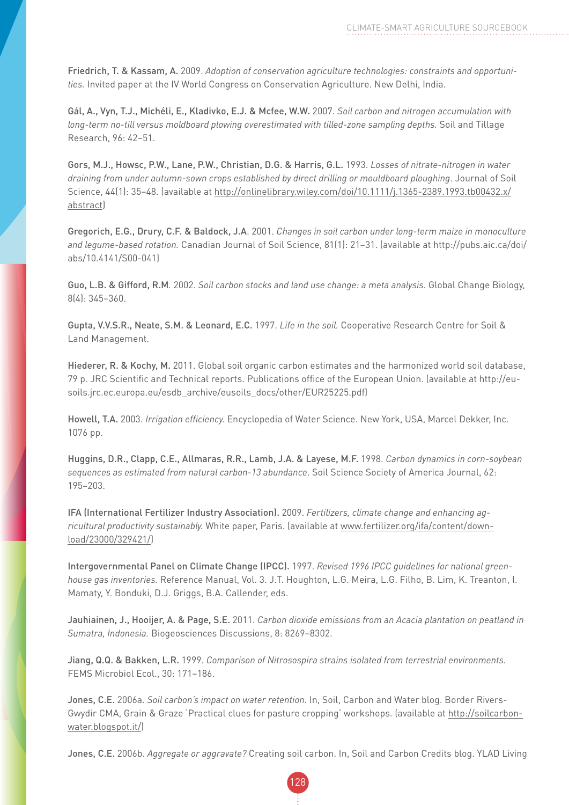Friedrich, T. & Kassam, A. 2009. *Adoption of conservation agriculture technologies: constraints and opportunities.* Invited paper at the IV World Congress on Conservation Agriculture. New Delhi, India.

Gál, A., Vyn, T.J., Michéli, E., Kladivko, E.J. & Mcfee, W.W. 2007. *Soil carbon and nitrogen accumulation with long-term no-till versus moldboard plowing overestimated with tilled-zone sampling depths.* Soil and Tillage Research, 96: 42–51.

Gors, M.J., Howsc, P.W., Lane, P.W., Christian, D.G. & Harris, G.L. 1993. *Losses of nitrate-nitrogen in water draining from under autumn-sown crops established by direct drilling or mouldboard ploughing*. Journal of Soil Science, 44(1): 35–48. (available at http://onlinelibrary.wiley.com/doi/10.1111/j.1365-2389.1993.tb00432.x/ abstract)

Gregorich, E.G., Drury, C.F. & Baldock, J.A. 2001. *Changes in soil carbon under long-term maize in monoculture and legume-based rotation.* Canadian Journal of Soil Science, 81(1): 21–31. (available at http://pubs.aic.ca/doi/ abs/10.4141/S00-041)

Guo, L.B. & Gifford, R.M*.* 2002. *Soil carbon stocks and land use change: a meta analysis.* Global Change Biology, 8(4): 345–360.

Gupta, V.V.S.R., Neate, S.M. & Leonard, E.C. 1997. *Life in the soil.* Cooperative Research Centre for Soil & Land Management.

Hiederer, R. & Kochy, M. 2011. Global soil organic carbon estimates and the harmonized world soil database, 79 p. JRC Scientific and Technical reports. Publications office of the European Union. (available at http://eusoils.jrc.ec.europa.eu/esdb\_archive/eusoils\_docs/other/EUR25225.pdf)

Howell, T.A. 2003. *Irrigation efficiency.* Encyclopedia of Water Science. New York, USA, Marcel Dekker, Inc. 1076 pp.

Huggins, D.R., Clapp, C.E., Allmaras, R.R., Lamb, J.A. & Layese, M.F. 1998. *Carbon dynamics in corn-soybean sequences as estimated from natural carbon-13 abundance*. Soil Science Society of America Journal, 62: 195–203.

IFA (International Fertilizer Industry Association). 2009. *Fertilizers, climate change and enhancing agricultural productivity sustainably.* White paper, Paris. (available at www.fertilizer.org/ifa/content/download/23000/329421/)

Intergovernmental Panel on Climate Change (IPCC). 1997. *Revised 1996 IPCC guidelines for national greenhouse gas inventories.* Reference Manual, Vol. 3. J.T. Houghton, L.G. Meira, L.G. Filho, B. Lim, K. Treanton, I. Mamaty, Y. Bonduki, D.J. Griggs, B.A. Callender, eds.

Jauhiainen, J., Hooijer, A. & Page, S.E. 2011. *Carbon dioxide emissions from an Acacia plantation on peatland in Sumatra, Indonesia.* Biogeosciences Discussions, 8: 8269–8302.

Jiang, Q.Q. & Bakken, L.R. 1999. *Comparison of Nitrosospira strains isolated from terrestrial environments.* FEMS Microbiol Ecol., 30: 171–186.

Jones, C.E. 2006a. *Soil carbon's impact on water retention.* In, Soil, Carbon and Water blog. Border Rivers-Gwydir CMA, Grain & Graze 'Practical clues for pasture cropping' workshops. (available at http://soilcarbonwater.blogspot.it/)

Jones, C.E. 2006b. *Aggregate or aggravate?* Creating soil carbon. In, Soil and Carbon Credits blog. YLAD Living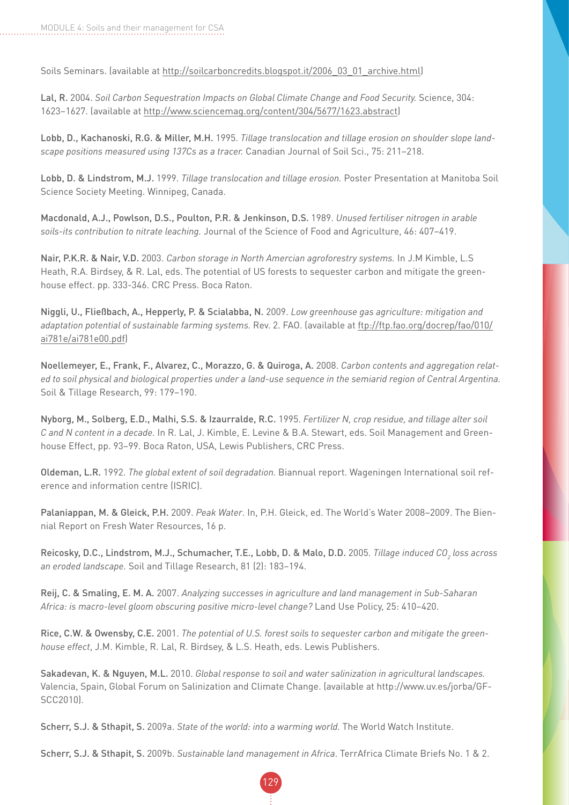Soils Seminars. (available at http://soilcarboncredits.blogspot.it/2006\_03\_01\_archive.html)

Lal, R. 2004. *Soil Carbon Sequestration Impacts on Global Climate Change and Food Security.* Science, 304: 1623–1627. (available at http://www.sciencemag.org/content/304/5677/1623.abstract)

Lobb, D., Kachanoski, R.G. & Miller, M.H. 1995. *Tillage translocation and tillage erosion on shoulder slope landscape positions measured using 137Cs as a tracer.* Canadian Journal of Soil Sci., 75: 211–218.

Lobb, D. & Lindstrom, M.J. 1999. *Tillage translocation and tillage erosion.* Poster Presentation at Manitoba Soil Science Society Meeting. Winnipeg, Canada.

Macdonald, A.J., Powlson, D.S., Poulton, P.R. & Jenkinson, D.S. 1989. *Unused fertiliser nitrogen in arable soils-its contribution to nitrate leaching.* Journal of the Science of Food and Agriculture, 46: 407–419.

Nair, P.K.R. & Nair, V.D. 2003. *Carbon storage in North Amercian agroforestry systems.* In J.M Kimble, L.S Heath, R.A. Birdsey, & R. Lal, eds. The potential of US forests to sequester carbon and mitigate the greenhouse effect. pp. 333-346. CRC Press. Boca Raton.

Niggli, U., Fließbach, A., Hepperly, P. & Scialabba, N. 2009. *Low greenhouse gas agriculture: mitigation and adaptation potential of sustainable farming systems.* Rev. 2. FAO. (available at ftp://ftp.fao.org/docrep/fao/010/ ai781e/ai781e00.pdf)

Noellemeyer, E., Frank, F., Alvarez, C., Morazzo, G. & Quiroga, A. 2008. *Carbon contents and aggregation related to soil physical and biological properties under a land-use sequence in the semiarid region of Central Argentina.* Soil & Tillage Research, 99: 179–190.

Nyborg, M., Solberg, E.D., Malhi, S.S. & Izaurralde, R.C. 1995. *Fertilizer N, crop residue, and tillage alter soil C and N content in a decade.* In R. Lal, J. Kimble, E. Levine & B.A. Stewart, eds. Soil Management and Greenhouse Effect, pp. 93–99. Boca Raton, USA, Lewis Publishers, CRC Press.

Oldeman, L.R. 1992. *The global extent of soil degradation.* Biannual report. Wageningen International soil reference and information centre (ISRIC).

Palaniappan, M. & Gleick, P.H. 2009. *Peak Water*. In, P.H. Gleick, ed. The World's Water 2008–2009. The Biennial Report on Fresh Water Resources, 16 p.

Reicosky, D.C., Lindstrom, M.J., Schumacher, T.E., Lobb, D. & Malo, D.D. 2005. *Tillage induced CO<sub>2</sub> loss across an eroded landscape.* Soil and Tillage Research, 81 (2): 183–194.

Reij, C. & Smaling, E. M. A. 2007. *Analyzing successes in agriculture and land management in Sub-Saharan Africa: is macro-level gloom obscuring positive micro-level change?* Land Use Policy, 25: 410–420.

Rice, C.W. & Owensby, C.E. 2001. *The potential of U.S. forest soils to sequester carbon and mitigate the greenhouse effect*, J.M. Kimble, R. Lal, R. Birdsey, & L.S. Heath, eds. Lewis Publishers.

Sakadevan, K. & Nguyen, M.L. 2010. *Global response to soil and water salinization in agricultural landscapes.* Valencia, Spain, Global Forum on Salinization and Climate Change. (available at http://www.uv.es/jorba/GF-SCC2010).

Scherr, S.J. & Sthapit, S. 2009a. *State of the world: into a warming world.* The World Watch Institute.

Scherr, S.J. & Sthapit, S. 2009b. *Sustainable land management in Africa*. TerrAfrica Climate Briefs No. 1 & 2.

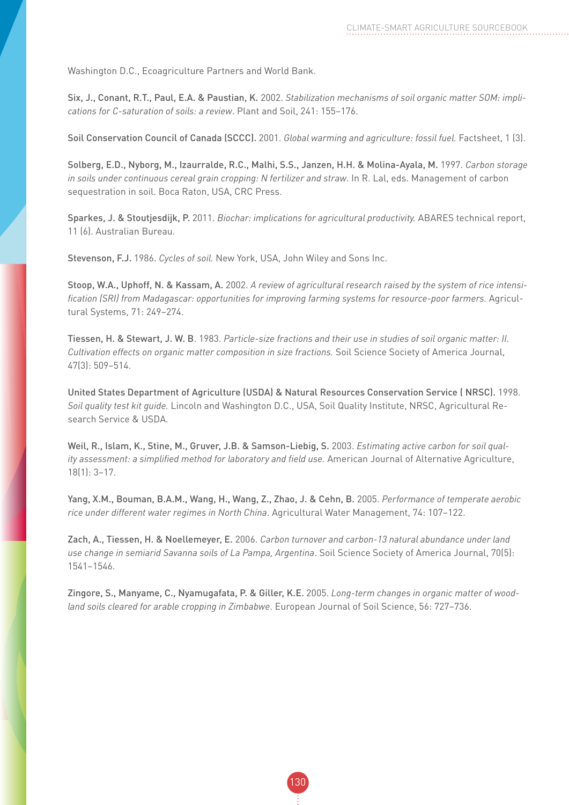Washington D.C., Ecoagriculture Partners and World Bank.

Six, J., Conant, R.T., Paul, E.A. & Paustian, K. 2002. *Stabilization mechanisms of soil organic matter SOM: implications for C-saturation of soils: a review*. Plant and Soil, 241: 155–176.

Soil Conservation Council of Canada (SCCC). 2001. *Global warming and agriculture: fossil fuel.* Factsheet, 1 (3).

Solberg, E.D., Nyborg, M., Izaurralde, R.C., Malhi, S.S., Janzen, H.H. & Molina-Ayala, M. 1997. *Carbon storage in soils under continuous cereal grain cropping: N fertilizer and straw*. In R. Lal, eds. Management of carbon sequestration in soil. Boca Raton, USA, CRC Press.

Sparkes, J. & Stoutjesdijk, P. 2011. *Biochar: implications for agricultural productivity.* ABARES technical report, 11 (6). Australian Bureau.

Stevenson, F.J. 1986. *Cycles of soil.* New York, USA, John Wiley and Sons Inc.

Stoop, W.A., Uphoff, N. & Kassam, A. 2002. *A review of agricultural research raised by the system of rice intensification (SRI) from Madagascar: opportunities for improving farming systems for resource-poor farmers.* Agricultural Systems, 71: 249–274.

Tiessen, H. & Stewart, J. W. B. 1983. *Particle-size fractions and their use in studies of soil organic matter: II. Cultivation effects on organic matter composition in size fractions.* Soil Science Society of America Journal, 47(3): 509–514.

United States Department of Agriculture (USDA) & Natural Resources Conservation Service ( NRSC). 1998. *Soil quality test kit guide.* Lincoln and Washington D.C., USA, Soil Quality Institute, NRSC, Agricultural Research Service & USDA.

Weil, R., Islam, K., Stine, M., Gruver, J.B. & Samson-Liebig, S. 2003. *Estimating active carbon for soil quality assessment: a simplified method for laboratory and field use.* American Journal of Alternative Agriculture, 18(1): 3–17.

Yang, X.M., Bouman, B.A.M., Wang, H., Wang, Z., Zhao, J. & Cehn, B. 2005. *Performance of temperate aerobic rice under different water regimes in North China*. Agricultural Water Management, 74: 107–122.

Zach, A., Tiessen, H. & Noellemeyer, E. 2006. *Carbon turnover and carbon-13 natural abundance under land use change in semiarid Savanna soils of La Pampa, Argentina*. Soil Science Society of America Journal, 70(5): 1541–1546.

Zingore, S., Manyame, C., Nyamugafata, P. & Giller, K.E. 2005. *Long-term changes in organic matter of woodland soils cleared for arable cropping in Zimbabwe*. European Journal of Soil Science, 56: 727–736.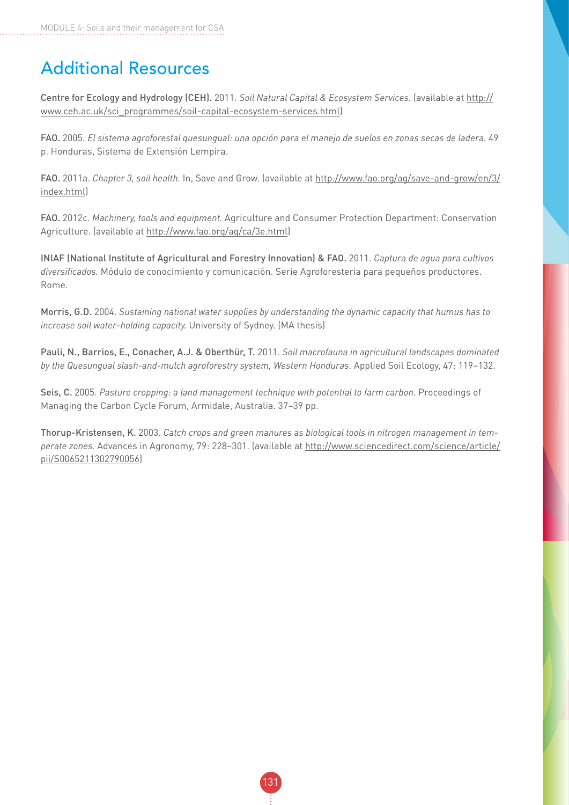# Additional Resources

Centre for Ecology and Hydrology (CEH). 2011. *Soil Natural Capital & Ecosystem Services.* (available at http:// www.ceh.ac.uk/sci\_programmes/soil-capital-ecosystem-services.html)

FAO. 2005. *El sistema agroforestal quesungual: una opción para el manejo de suelos en zonas secas de ladera.* 49 p. Honduras, Sistema de Extensión Lempira.

FAO. 2011a. *Chapter 3, soil health.* In, Save and Grow. (available at http://www.fao.org/ag/save-and-grow/en/3/ index.html)

FAO. 2012c. *Machinery, tools and equipment.* Agriculture and Consumer Protection Department: Conservation Agriculture. (available at http://www.fao.org/ag/ca/3e.html)

INIAF (National Institute of Agricultural and Forestry Innovation) & FAO. 2011. *Captura de agua para cultivos diversificados.* Módulo de conocimiento y comunicación. Serie Agroforesteria para pequeños productores. Rome.

Morris, G.D. 2004. *Sustaining national water supplies by understanding the dynamic capacity that humus has to increase soil water-holding capacity.* University of Sydney. (MA thesis)

Pauli, N., Barrios, E., Conacher, A.J. & Oberthür, T. 2011. *Soil macrofauna in agricultural landscapes dominated by the Quesungual slash-and-mulch agroforestry system, Western Honduras*. Applied Soil Ecology, 47: 119–132.

Seis, C. 2005. Pasture cropping: a land management technique with potential to farm carbon. Proceedings of Managing the Carbon Cycle Forum, Armidale, Australia. 37–39 pp.

Thorup-Kristensen, K. 2003. *Catch crops and green manures as biological tools in nitrogen management in temperate zones.* Advances in Agronomy, 79: 228–301. (available at http://www.sciencedirect.com/science/article/ pii/S0065211302790056)

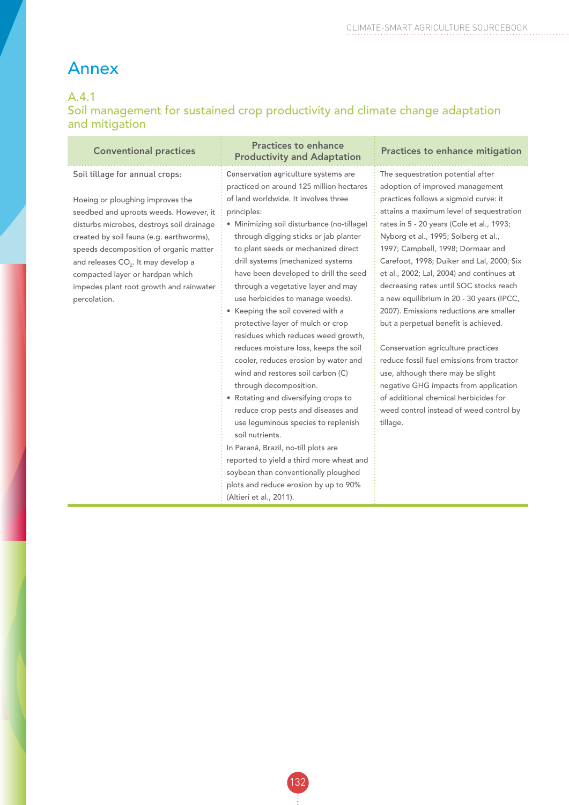## Annex

### A.4.1

### Soil management for sustained crop productivity and climate change adaptation and mitigation

#### Soil tillage for annual crops:

Hoeing or ploughing improves the seedbed and uproots weeds. However, it disturbs microbes, destroys soil drainage created by soil fauna (e.g. earthworms), speeds decomposition of organic matter and releases CO<sub>2</sub>. It may develop a compacted layer or hardpan which impedes plant root growth and rainwater percolation.

#### Conventional practices Practices Practices Conventional practices to enhance Practices to enhance<br>Productivity and Adaptation | Practices to enhance mitigation

Conservation agriculture systems are practiced on around 125 million hectares of land worldwide. It involves three principles:

- • Minimizing soil disturbance (no-tillage) through digging sticks or jab planter to plant seeds or mechanized direct drill systems (mechanized systems have been developed to drill the seed through a vegetative layer and may use herbicides to manage weeds).
- • Keeping the soil covered with a protective layer of mulch or crop residues which reduces weed growth, reduces moisture loss, keeps the soil cooler, reduces erosion by water and wind and restores soil carbon (C) through decomposition.
- • Rotating and diversifying crops to reduce crop pests and diseases and use leguminous species to replenish soil nutrients.

In Paraná, Brazil, no-till plots are reported to yield a third more wheat and soybean than conventionally ploughed plots and reduce erosion by up to 90% (Altieri et al., 2011).

132

The sequestration potential after adoption of improved management practices follows a sigmoid curve: it attains a maximum level of sequestration rates in 5 - 20 years (Cole et al., 1993; Nyborg et al., 1995; Solberg et al., 1997; Campbell, 1998; Dormaar and Carefoot, 1998; Duiker and Lal, 2000; Six et al., 2002; Lal, 2004) and continues at decreasing rates until SOC stocks reach a new equilibrium in 20 - 30 years (IPCC, 2007). Emissions reductions are smaller but a perpetual benefit is achieved.

Conservation agriculture practices reduce fossil fuel emissions from tractor use, although there may be slight negative GHG impacts from application of additional chemical herbicides for weed control instead of weed control by tillage.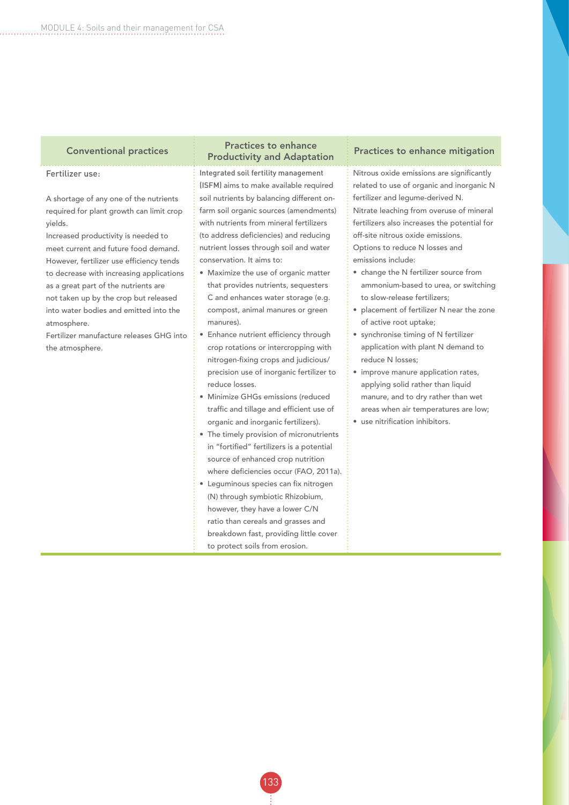#### Fertilizer use:

A shortage of any one of the nutrients required for plant growth can limit crop yields.

Increased productivity is needed to meet current and future food demand. However, fertilizer use efficiency tends to decrease with increasing applications as a great part of the nutrients are not taken up by the crop but released into water bodies and emitted into the atmosphere.

Fertilizer manufacture releases GHG into the atmosphere.

#### Conventional practices Practices Practices to enhance Practices to enhance<br>Productivity and Adaptation Productivity and Adaptation

Integrated soil fertility management (ISFM) aims to make available required soil nutrients by balancing different onfarm soil organic sources (amendments) with nutrients from mineral fertilizers (to address deficiencies) and reducing nutrient losses through soil and water conservation. It aims to:

- • Maximize the use of organic matter that provides nutrients, sequesters C and enhances water storage (e.g. compost, animal manures or green manures).
- Enhance nutrient efficiency through crop rotations or intercropping with nitrogen-fixing crops and judicious/ precision use of inorganic fertilizer to reduce losses.
- Minimize GHGs emissions (reduced traffic and tillage and efficient use of organic and inorganic fertilizers).
- The timely provision of micronutrients in "fortified" fertilizers is a potential source of enhanced crop nutrition where deficiencies occur (FAO, 2011a).
- • Leguminous species can fix nitrogen (N) through symbiotic Rhizobium, however, they have a lower C/N ratio than cereals and grasses and breakdown fast, providing little cover to protect soils from erosion.

Nitrous oxide emissions are significantly related to use of organic and inorganic N fertilizer and legume-derived N. Nitrate leaching from overuse of mineral fertilizers also increases the potential for off-site nitrous oxide emissions. Options to reduce N losses and emissions include:

- • change the N fertilizer source from ammonium-based to urea, or switching to slow-release fertilizers;
- placement of fertilizer N near the zone of active root uptake;
- • synchronise timing of N fertilizer application with plant N demand to reduce N losses;
- improve manure application rates, applying solid rather than liquid manure, and to dry rather than wet areas when air temperatures are low; • use nitrification inhibitors.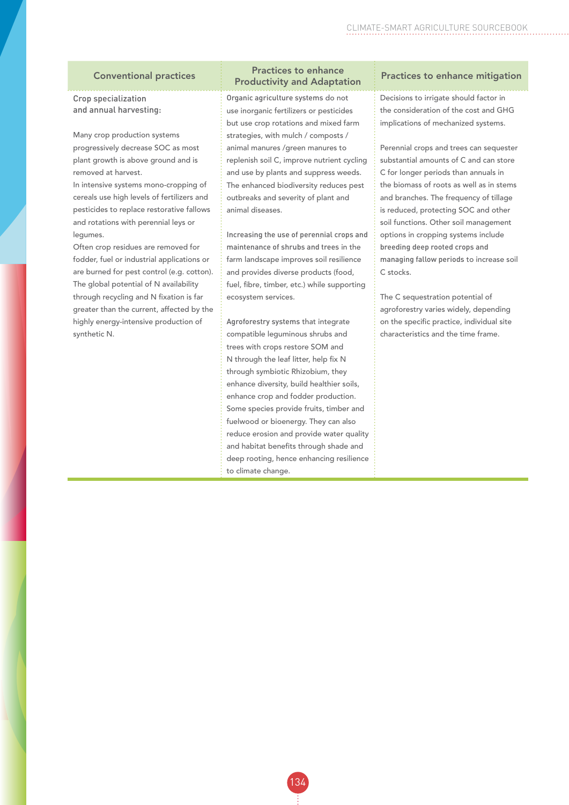Crop specialization and annual harvesting:

Many crop production systems progressively decrease SOC as most plant growth is above ground and is removed at harvest.

In intensive systems mono-cropping of cereals use high levels of fertilizers and pesticides to replace restorative fallows and rotations with perennial leys or legumes.

Often crop residues are removed for fodder, fuel or industrial applications or are burned for pest control (e.g. cotton). The global potential of N availability through recycling and N fixation is far greater than the current, affected by the highly energy-intensive production of synthetic N.

# Conventional practices **EXECUTE:**<br>Productivity and Adaptation

Organic agriculture systems do not use inorganic fertilizers or pesticides but use crop rotations and mixed farm strategies, with mulch / composts / animal manures /green manures to replenish soil C, improve nutrient cycling and use by plants and suppress weeds. The enhanced biodiversity reduces pest outbreaks and severity of plant and animal diseases.

Increasing the use of perennial crops and maintenance of shrubs and trees in the farm landscape improves soil resilience and provides diverse products (food, fuel, fibre, timber, etc.) while supporting ecosystem services.

Agroforestry systems that integrate compatible leguminous shrubs and trees with crops restore SOM and N through the leaf litter, help fix N through symbiotic Rhizobium, they enhance diversity, build healthier soils, enhance crop and fodder production. Some species provide fruits, timber and fuelwood or bioenergy. They can also reduce erosion and provide water quality and habitat benefits through shade and deep rooting, hence enhancing resilience to climate change.

134

#### Practices to enhance mitigation

Decisions to irrigate should factor in the consideration of the cost and GHG implications of mechanized systems.

Perennial crops and trees can sequester substantial amounts of C and can store C for longer periods than annuals in the biomass of roots as well as in stems and branches. The frequency of tillage is reduced, protecting SOC and other soil functions. Other soil management options in cropping systems include breeding deep rooted crops and managing fallow periods to increase soil C stocks.

The C sequestration potential of agroforestry varies widely, depending on the specific practice, individual site characteristics and the time frame.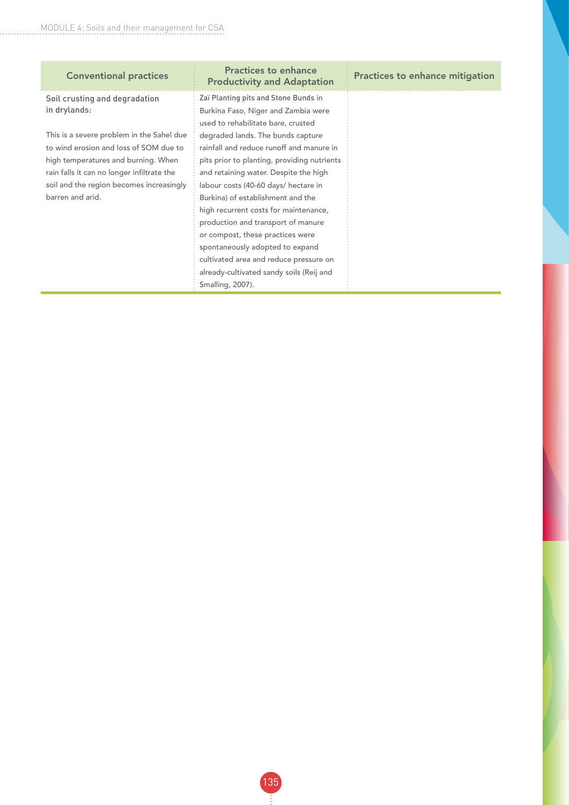| <b>Conventional practices</b>              | <b>Practices to enhance</b><br><b>Productivity and Adaptation</b> | <b>Practices to enhance mitigation</b> |
|--------------------------------------------|-------------------------------------------------------------------|----------------------------------------|
| Soil crusting and degradation              | Zaï Planting pits and Stone Bunds in                              |                                        |
| in drylands:                               | Burkina Faso, Niger and Zambia were                               |                                        |
|                                            | used to rehabilitate bare, crusted                                |                                        |
| This is a severe problem in the Sahel due  | degraded lands. The bunds capture                                 |                                        |
| to wind erosion and loss of SOM due to     | rainfall and reduce runoff and manure in                          |                                        |
| high temperatures and burning. When        | pits prior to planting, providing nutrients                       |                                        |
| rain falls it can no longer infiltrate the | and retaining water. Despite the high                             |                                        |
| soil and the region becomes increasingly   | labour costs (40-60 days/ hectare in                              |                                        |
| barren and arid.                           | Burkina) of establishment and the                                 |                                        |
|                                            | high recurrent costs for maintenance,                             |                                        |
|                                            | production and transport of manure                                |                                        |
|                                            | or compost, these practices were                                  |                                        |
|                                            | spontaneously adopted to expand                                   |                                        |
|                                            | cultivated area and reduce pressure on                            |                                        |
|                                            | already-cultivated sandy soils (Reij and                          |                                        |
|                                            | Smalling, 2007).                                                  |                                        |

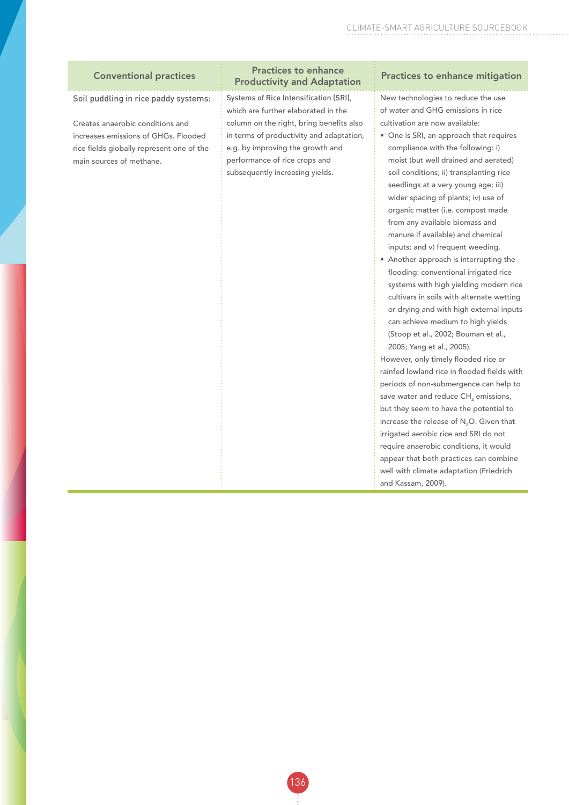well with climate adaptation (Friedrich

and Kassam, 2009).

#### Conventional practices **EXECUTE:**<br>Productivity and Adaptation Practices to enhance mitigation Soil puddling in rice paddy systems: Creates anaerobic conditions and increases emissions of GHGs. Flooded rice fields globally represent one of the main sources of methane. Systems of Rice Intensification (SRI), which are further elaborated in the column on the right, bring benefits also in terms of productivity and adaptation, e.g. by improving the growth and performance of rice crops and subsequently increasing yields. New technologies to reduce the use of water and GHG emissions in rice cultivation are now available: • One is SRI, an approach that requires compliance with the following: i) moist (but well drained and aerated) soil conditions; ii) transplanting rice seedlings at a very young age; iii) wider spacing of plants; iv) use of organic matter (i.e. compost made from any available biomass and manure if available) and chemical inputs; and v) frequent weeding. Another approach is interrupting the flooding: conventional irrigated rice systems with high yielding modern rice cultivars in soils with alternate wetting or drying and with high external inputs can achieve medium to high yields (Stoop et al., 2002; Bouman et al., 2005; Yang et al., 2005). However, only timely flooded rice or rainfed lowland rice in flooded fields with periods of non-submergence can help to save water and reduce  $\mathsf{CH}_4$  emissions, but they seem to have the potential to increase the release of  $N_2O$ . Given that irrigated aerobic rice and SRI do not require anaerobic conditions, it would appear that both practices can combine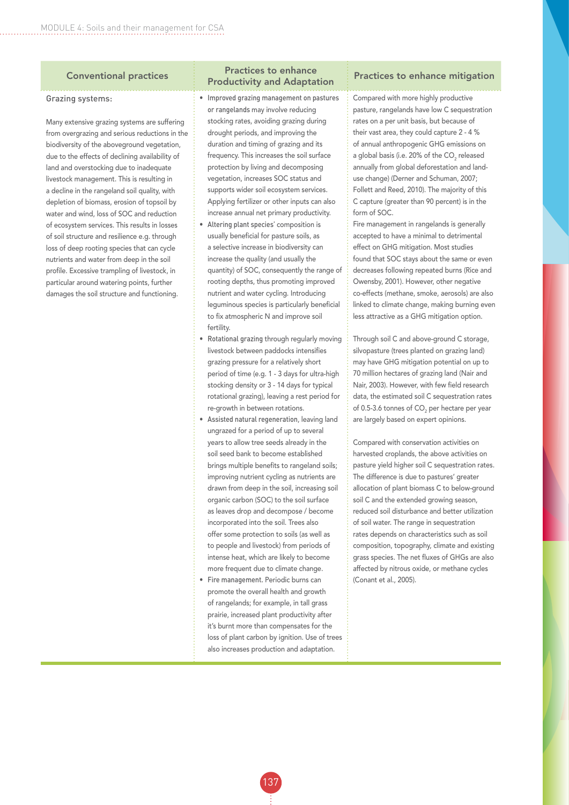#### Grazing systems:

Many extensive grazing systems are suffering from overgrazing and serious reductions in the biodiversity of the aboveground vegetation, due to the effects of declining availability of land and overstocking due to inadequate livestock management. This is resulting in a decline in the rangeland soil quality, with depletion of biomass, erosion of topsoil by water and wind, loss of SOC and reduction of ecosystem services. This results in losses of soil structure and resilience e.g. through loss of deep rooting species that can cycle nutrients and water from deep in the soil profile. Excessive trampling of livestock, in particular around watering points, further damages the soil structure and functioning.

# Conventional practices **Exercises**<br>Productivity and Adaptation

- • Improved grazing management on pastures or rangelands may involve reducing stocking rates, avoiding grazing during drought periods, and improving the duration and timing of grazing and its frequency. This increases the soil surface protection by living and decomposing vegetation, increases SOC status and supports wider soil ecosystem services. Applying fertilizer or other inputs can also increase annual net primary productivity.
- Altering plant species' composition is usually beneficial for pasture soils, as a selective increase in biodiversity can increase the quality (and usually the quantity) of SOC, consequently the range of rooting depths, thus promoting improved nutrient and water cycling. Introducing leguminous species is particularly beneficial to fix atmospheric N and improve soil fertility.
- Rotational grazing through regularly moving livestock between paddocks intensifies grazing pressure for a relatively short period of time (e.g. 1 - 3 days for ultra-high stocking density or 3 - 14 days for typical rotational grazing), leaving a rest period for re-growth in between rotations.
- Assisted natural regeneration, leaving land ungrazed for a period of up to several years to allow tree seeds already in the soil seed bank to become established brings multiple benefits to rangeland soils; improving nutrient cycling as nutrients are drawn from deep in the soil, increasing soil organic carbon (SOC) to the soil surface as leaves drop and decompose / become incorporated into the soil. Trees also offer some protection to soils (as well as to people and livestock) from periods of intense heat, which are likely to become more frequent due to climate change.
- Fire management. Periodic burns can promote the overall health and growth of rangelands; for example, in tall grass prairie, increased plant productivity after it's burnt more than compensates for the loss of plant carbon by ignition. Use of trees also increases production and adaptation.

137

#### Practices to enhance mitigation

Compared with more highly productive pasture, rangelands have low C sequestration rates on a per unit basis, but because of their vast area, they could capture 2 - 4 % of annual anthropogenic GHG emissions on a global basis (i.e. 20% of the  $\mathsf{CO}_2$  released annually from global deforestation and landuse change) (Derner and Schuman, 2007; Follett and Reed, 2010). The majority of this C capture (greater than 90 percent) is in the form of SOC.

Fire management in rangelands is generally accepted to have a minimal to detrimental effect on GHG mitigation. Most studies found that SOC stays about the same or even decreases following repeated burns (Rice and Owensby, 2001). However, other negative co-effects (methane, smoke, aerosols) are also linked to climate change, making burning even less attractive as a GHG mitigation option.

Through soil C and above-ground C storage, silvopasture (trees planted on grazing land) may have GHG mitigation potential on up to 70 million hectares of grazing land (Nair and Nair, 2003). However, with few field research data, the estimated soil C sequestration rates of 0.5-3.6 tonnes of  $\mathsf{CO}_2$  per hectare per year are largely based on expert opinions.

Compared with conservation activities on harvested croplands, the above activities on pasture yield higher soil C sequestration rates. The difference is due to pastures' greater allocation of plant biomass C to below-ground soil C and the extended growing season, reduced soil disturbance and better utilization of soil water. The range in sequestration rates depends on characteristics such as soil composition, topography, climate and existing grass species. The net fluxes of GHGs are also affected by nitrous oxide, or methane cycles (Conant et al., 2005).